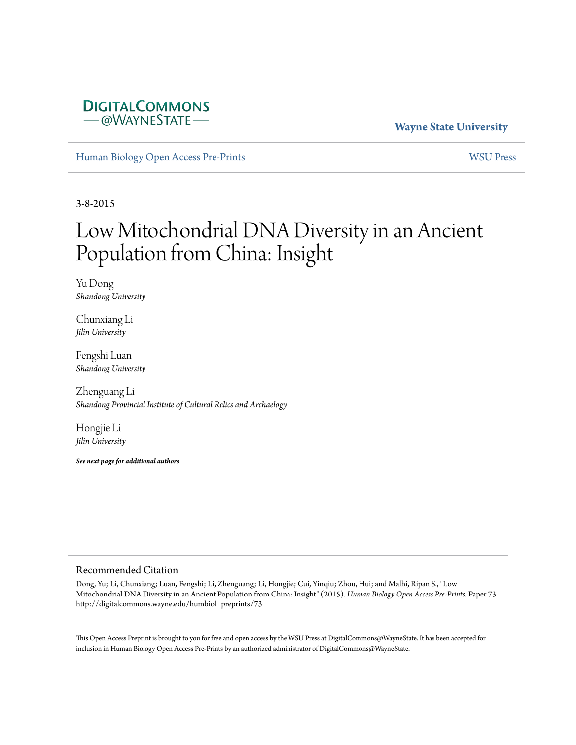

# **Wayne State University**

[Human Biology Open Access Pre-Prints](http://digitalcommons.wayne.edu/humbiol_preprints) [WSU Press](http://digitalcommons.wayne.edu/wsupress)

3-8-2015

# Low Mitochondrial DNA Diversity in an Ancient Population from China: Insight

Yu Dong *Shandong University*

Chunxiang Li *Jilin University*

Fengshi Luan *Shandong University*

Zhenguang Li *Shandong Provincial Institute of Cultural Relics and Archaelogy*

Hongjie Li *Jilin University*

*See next page for additional authors*

#### Recommended Citation

Dong, Yu; Li, Chunxiang; Luan, Fengshi; Li, Zhenguang; Li, Hongjie; Cui, Yinqiu; Zhou, Hui; and Malhi, Ripan S., "Low Mitochondrial DNA Diversity in an Ancient Population from China: Insight" (2015). *Human Biology Open Access Pre-Prints.* Paper 73. http://digitalcommons.wayne.edu/humbiol\_preprints/73

This Open Access Preprint is brought to you for free and open access by the WSU Press at DigitalCommons@WayneState. It has been accepted for inclusion in Human Biology Open Access Pre-Prints by an authorized administrator of DigitalCommons@WayneState.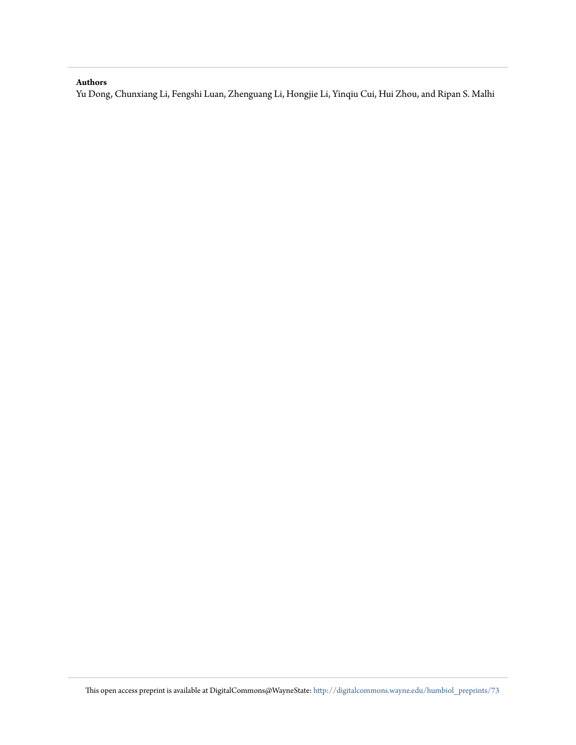#### **Authors**

Yu Dong, Chunxiang Li, Fengshi Luan, Zhenguang Li, Hongjie Li, Yinqiu Cui, Hui Zhou, and Ripan S. Malhi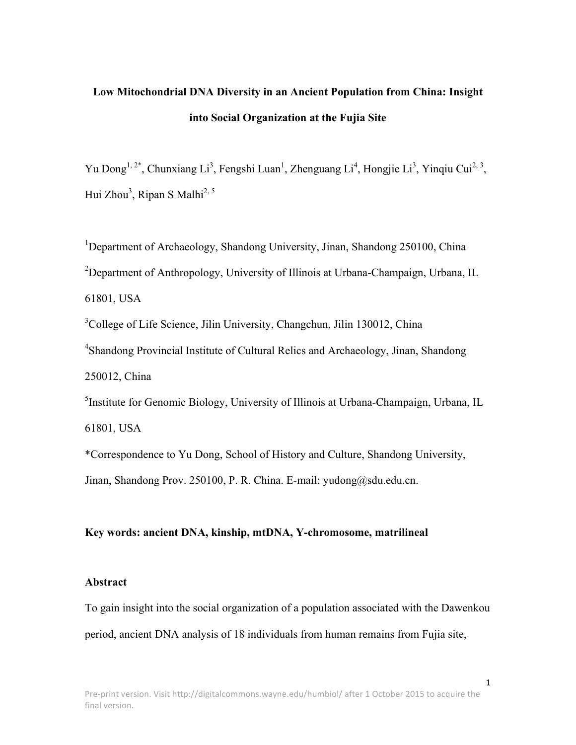# **Low Mitochondrial DNA Diversity in an Ancient Population from China: Insight into Social Organization at the Fujia Site**

Yu Dong<sup>1, 2\*</sup>, Chunxiang Li<sup>3</sup>, Fengshi Luan<sup>1</sup>, Zhenguang Li<sup>4</sup>, Hongjie Li<sup>3</sup>, Yinqiu Cui<sup>2, 3</sup>, Hui Zhou<sup>3</sup>, Ripan S Malhi<sup>2, 5</sup>

<sup>1</sup>Department of Archaeology, Shandong University, Jinan, Shandong 250100, China <sup>2</sup>Department of Anthropology, University of Illinois at Urbana-Champaign, Urbana, IL 61801, USA

<sup>3</sup>College of Life Science, Jilin University, Changchun, Jilin 130012, China

<sup>4</sup>Shandong Provincial Institute of Cultural Relics and Archaeology, Jinan, Shandong 250012, China

<sup>5</sup>Institute for Genomic Biology, University of Illinois at Urbana-Champaign, Urbana, IL 61801, USA

\*Correspondence to Yu Dong, School of History and Culture, Shandong University, Jinan, Shandong Prov. 250100, P. R. China. E-mail: yudong@sdu.edu.cn.

# **Key words: ancient DNA, kinship, mtDNA, Y-chromosome, matrilineal**

# **Abstract**

To gain insight into the social organization of a population associated with the Dawenkou period, ancient DNA analysis of 18 individuals from human remains from Fujia site,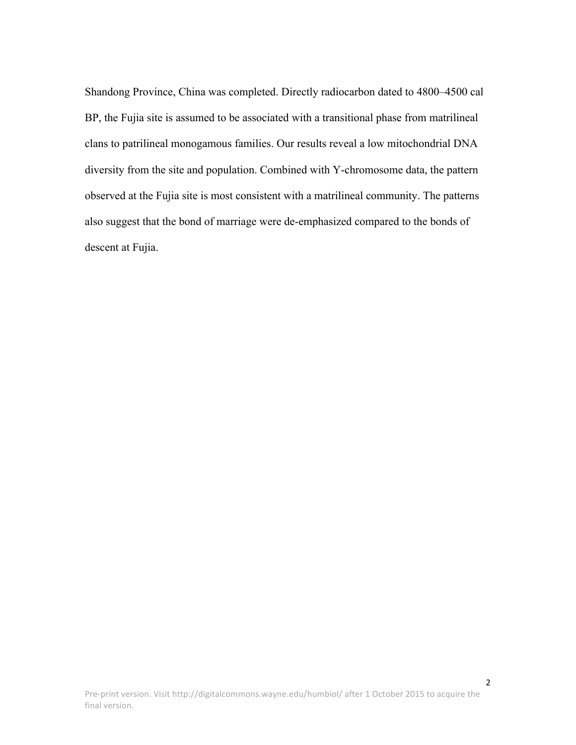Shandong Province, China was completed. Directly radiocarbon dated to 4800–4500 cal BP, the Fujia site is assumed to be associated with a transitional phase from matrilineal clans to patrilineal monogamous families. Our results reveal a low mitochondrial DNA diversity from the site and population. Combined with Y-chromosome data, the pattern observed at the Fujia site is most consistent with a matrilineal community. The patterns also suggest that the bond of marriage were de-emphasized compared to the bonds of descent at Fujia.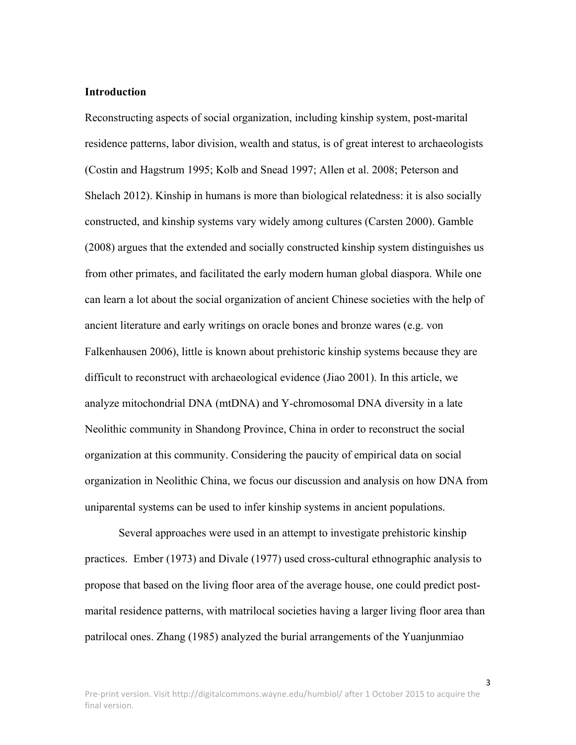#### **Introduction**

Reconstructing aspects of social organization, including kinship system, post-marital residence patterns, labor division, wealth and status, is of great interest to archaeologists (Costin and Hagstrum 1995; Kolb and Snead 1997; Allen et al. 2008; Peterson and Shelach 2012). Kinship in humans is more than biological relatedness: it is also socially constructed, and kinship systems vary widely among cultures (Carsten 2000). Gamble (2008) argues that the extended and socially constructed kinship system distinguishes us from other primates, and facilitated the early modern human global diaspora. While one can learn a lot about the social organization of ancient Chinese societies with the help of ancient literature and early writings on oracle bones and bronze wares (e.g. von Falkenhausen 2006), little is known about prehistoric kinship systems because they are difficult to reconstruct with archaeological evidence (Jiao 2001). In this article, we analyze mitochondrial DNA (mtDNA) and Y-chromosomal DNA diversity in a late Neolithic community in Shandong Province, China in order to reconstruct the social organization at this community. Considering the paucity of empirical data on social organization in Neolithic China, we focus our discussion and analysis on how DNA from uniparental systems can be used to infer kinship systems in ancient populations.

Several approaches were used in an attempt to investigate prehistoric kinship practices. Ember (1973) and Divale (1977) used cross-cultural ethnographic analysis to propose that based on the living floor area of the average house, one could predict postmarital residence patterns, with matrilocal societies having a larger living floor area than patrilocal ones. Zhang (1985) analyzed the burial arrangements of the Yuanjunmiao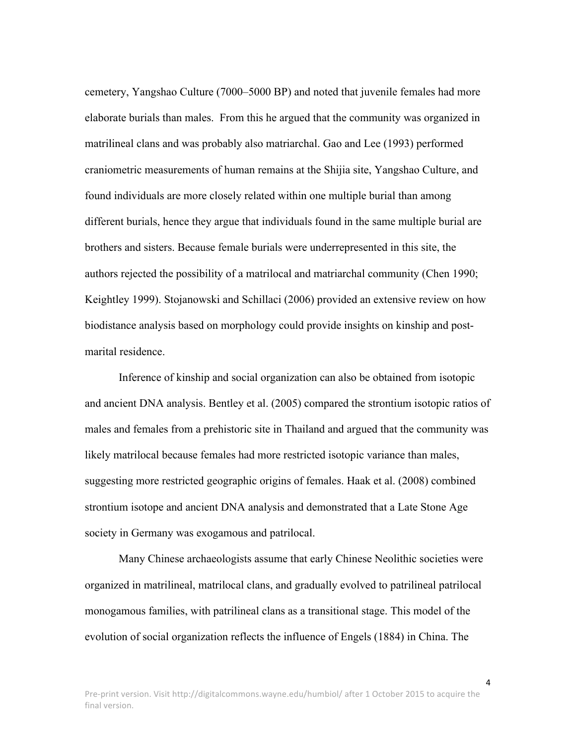cemetery, Yangshao Culture (7000–5000 BP) and noted that juvenile females had more elaborate burials than males. From this he argued that the community was organized in matrilineal clans and was probably also matriarchal. Gao and Lee (1993) performed craniometric measurements of human remains at the Shijia site, Yangshao Culture, and found individuals are more closely related within one multiple burial than among different burials, hence they argue that individuals found in the same multiple burial are brothers and sisters. Because female burials were underrepresented in this site, the authors rejected the possibility of a matrilocal and matriarchal community (Chen 1990; Keightley 1999). Stojanowski and Schillaci (2006) provided an extensive review on how biodistance analysis based on morphology could provide insights on kinship and postmarital residence.

Inference of kinship and social organization can also be obtained from isotopic and ancient DNA analysis. Bentley et al. (2005) compared the strontium isotopic ratios of males and females from a prehistoric site in Thailand and argued that the community was likely matrilocal because females had more restricted isotopic variance than males, suggesting more restricted geographic origins of females. Haak et al. (2008) combined strontium isotope and ancient DNA analysis and demonstrated that a Late Stone Age society in Germany was exogamous and patrilocal.

Many Chinese archaeologists assume that early Chinese Neolithic societies were organized in matrilineal, matrilocal clans, and gradually evolved to patrilineal patrilocal monogamous families, with patrilineal clans as a transitional stage. This model of the evolution of social organization reflects the influence of Engels (1884) in China. The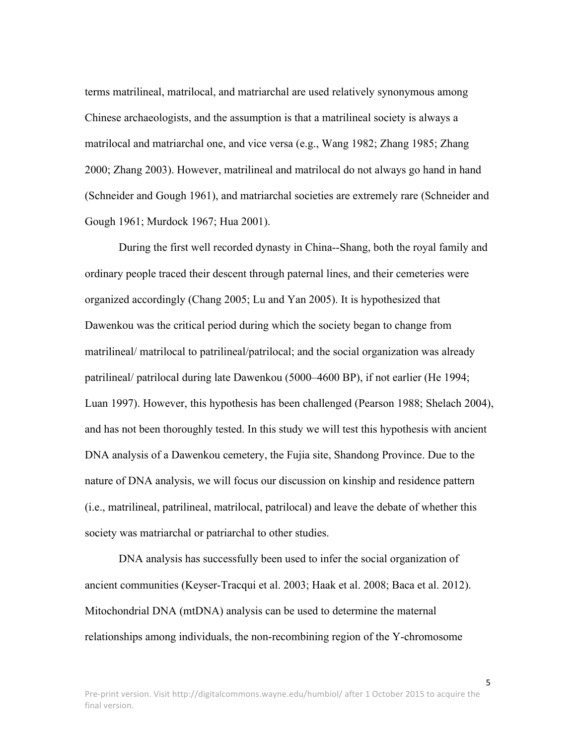terms matrilineal, matrilocal, and matriarchal are used relatively synonymous among Chinese archaeologists, and the assumption is that a matrilineal society is always a matrilocal and matriarchal one, and vice versa (e.g., Wang 1982; Zhang 1985; Zhang 2000; Zhang 2003). However, matrilineal and matrilocal do not always go hand in hand (Schneider and Gough 1961), and matriarchal societies are extremely rare (Schneider and Gough 1961; Murdock 1967; Hua 2001).

During the first well recorded dynasty in China--Shang, both the royal family and ordinary people traced their descent through paternal lines, and their cemeteries were organized accordingly (Chang 2005; Lu and Yan 2005). It is hypothesized that Dawenkou was the critical period during which the society began to change from matrilineal/ matrilocal to patrilineal/patrilocal; and the social organization was already patrilineal/ patrilocal during late Dawenkou (5000–4600 BP), if not earlier (He 1994; Luan 1997). However, this hypothesis has been challenged (Pearson 1988; Shelach 2004), and has not been thoroughly tested. In this study we will test this hypothesis with ancient DNA analysis of a Dawenkou cemetery, the Fujia site, Shandong Province. Due to the nature of DNA analysis, we will focus our discussion on kinship and residence pattern (i.e., matrilineal, patrilineal, matrilocal, patrilocal) and leave the debate of whether this society was matriarchal or patriarchal to other studies.

DNA analysis has successfully been used to infer the social organization of ancient communities (Keyser-Tracqui et al. 2003; Haak et al. 2008; Baca et al. 2012). Mitochondrial DNA (mtDNA) analysis can be used to determine the maternal relationships among individuals, the non-recombining region of the Y-chromosome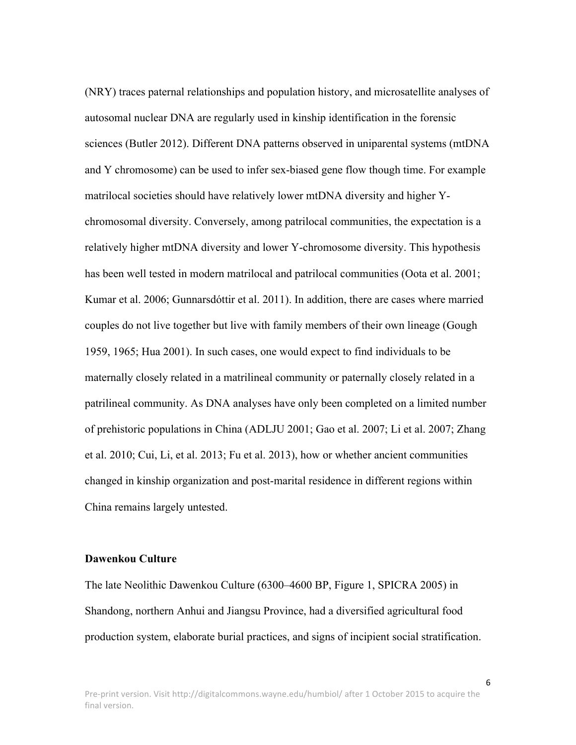(NRY) traces paternal relationships and population history, and microsatellite analyses of autosomal nuclear DNA are regularly used in kinship identification in the forensic sciences (Butler 2012). Different DNA patterns observed in uniparental systems (mtDNA and Y chromosome) can be used to infer sex-biased gene flow though time. For example matrilocal societies should have relatively lower mtDNA diversity and higher Ychromosomal diversity. Conversely, among patrilocal communities, the expectation is a relatively higher mtDNA diversity and lower Y-chromosome diversity. This hypothesis has been well tested in modern matrilocal and patrilocal communities (Oota et al. 2001; Kumar et al. 2006; Gunnarsdóttir et al. 2011). In addition, there are cases where married couples do not live together but live with family members of their own lineage (Gough 1959, 1965; Hua 2001). In such cases, one would expect to find individuals to be maternally closely related in a matrilineal community or paternally closely related in a patrilineal community. As DNA analyses have only been completed on a limited number of prehistoric populations in China (ADLJU 2001; Gao et al. 2007; Li et al. 2007; Zhang et al. 2010; Cui, Li, et al. 2013; Fu et al. 2013), how or whether ancient communities changed in kinship organization and post-marital residence in different regions within China remains largely untested.

## **Dawenkou Culture**

The late Neolithic Dawenkou Culture (6300–4600 BP, Figure 1, SPICRA 2005) in Shandong, northern Anhui and Jiangsu Province, had a diversified agricultural food production system, elaborate burial practices, and signs of incipient social stratification.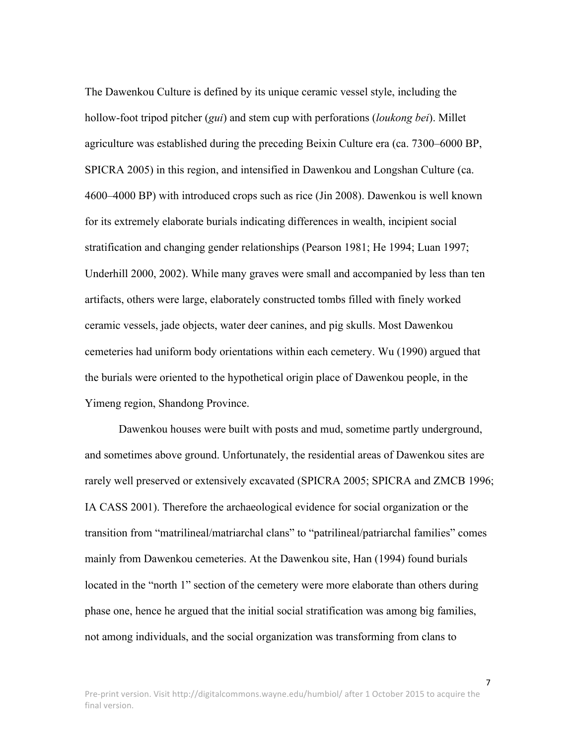The Dawenkou Culture is defined by its unique ceramic vessel style, including the hollow-foot tripod pitcher (*gui*) and stem cup with perforations (*loukong bei*). Millet agriculture was established during the preceding Beixin Culture era (ca. 7300–6000 BP, SPICRA 2005) in this region, and intensified in Dawenkou and Longshan Culture (ca. 4600–4000 BP) with introduced crops such as rice (Jin 2008). Dawenkou is well known for its extremely elaborate burials indicating differences in wealth, incipient social stratification and changing gender relationships (Pearson 1981; He 1994; Luan 1997; Underhill 2000, 2002). While many graves were small and accompanied by less than ten artifacts, others were large, elaborately constructed tombs filled with finely worked ceramic vessels, jade objects, water deer canines, and pig skulls. Most Dawenkou cemeteries had uniform body orientations within each cemetery. Wu (1990) argued that the burials were oriented to the hypothetical origin place of Dawenkou people, in the Yimeng region, Shandong Province.

Dawenkou houses were built with posts and mud, sometime partly underground, and sometimes above ground. Unfortunately, the residential areas of Dawenkou sites are rarely well preserved or extensively excavated (SPICRA 2005; SPICRA and ZMCB 1996; IA CASS 2001). Therefore the archaeological evidence for social organization or the transition from "matrilineal/matriarchal clans" to "patrilineal/patriarchal families" comes mainly from Dawenkou cemeteries. At the Dawenkou site, Han (1994) found burials located in the "north 1" section of the cemetery were more elaborate than others during phase one, hence he argued that the initial social stratification was among big families, not among individuals, and the social organization was transforming from clans to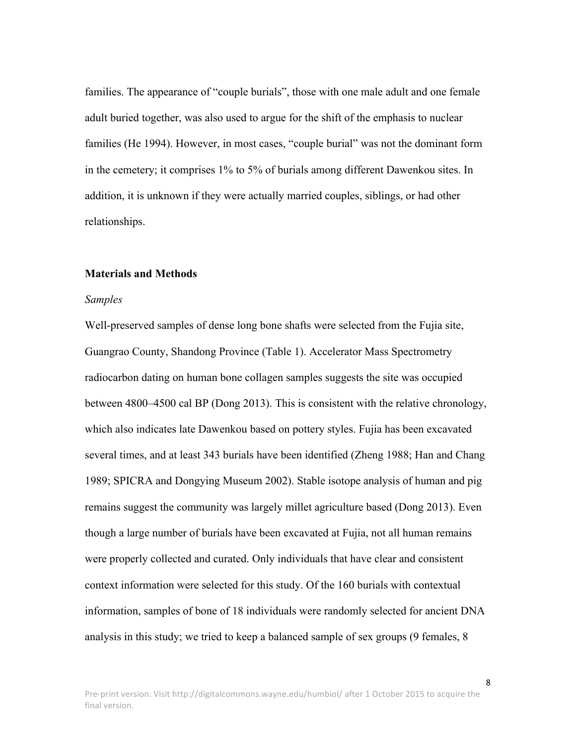families. The appearance of "couple burials", those with one male adult and one female adult buried together, was also used to argue for the shift of the emphasis to nuclear families (He 1994). However, in most cases, "couple burial" was not the dominant form in the cemetery; it comprises 1% to 5% of burials among different Dawenkou sites. In addition, it is unknown if they were actually married couples, siblings, or had other relationships.

#### **Materials and Methods**

#### *Samples*

Well-preserved samples of dense long bone shafts were selected from the Fujia site, Guangrao County, Shandong Province (Table 1). Accelerator Mass Spectrometry radiocarbon dating on human bone collagen samples suggests the site was occupied between 4800–4500 cal BP (Dong 2013). This is consistent with the relative chronology, which also indicates late Dawenkou based on pottery styles. Fujia has been excavated several times, and at least 343 burials have been identified (Zheng 1988; Han and Chang 1989; SPICRA and Dongying Museum 2002). Stable isotope analysis of human and pig remains suggest the community was largely millet agriculture based (Dong 2013). Even though a large number of burials have been excavated at Fujia, not all human remains were properly collected and curated. Only individuals that have clear and consistent context information were selected for this study. Of the 160 burials with contextual information, samples of bone of 18 individuals were randomly selected for ancient DNA analysis in this study; we tried to keep a balanced sample of sex groups (9 females, 8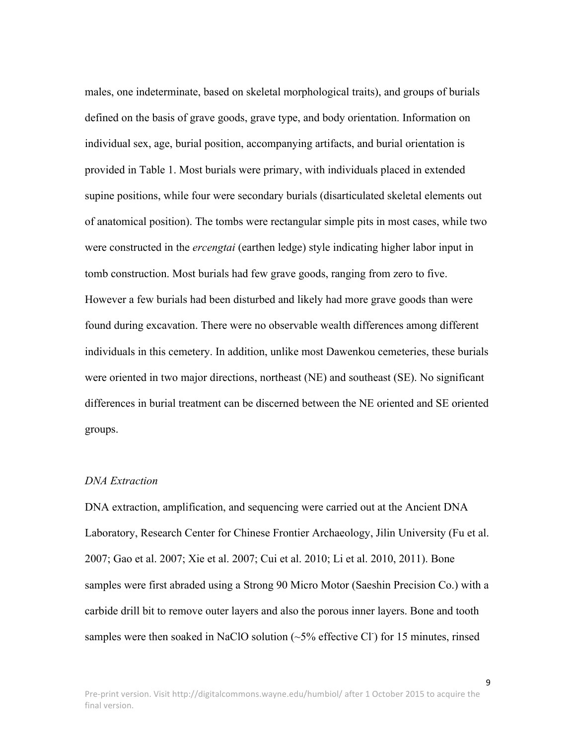males, one indeterminate, based on skeletal morphological traits), and groups of burials defined on the basis of grave goods, grave type, and body orientation. Information on individual sex, age, burial position, accompanying artifacts, and burial orientation is provided in Table 1. Most burials were primary, with individuals placed in extended supine positions, while four were secondary burials (disarticulated skeletal elements out of anatomical position). The tombs were rectangular simple pits in most cases, while two were constructed in the *ercengtai* (earthen ledge) style indicating higher labor input in tomb construction. Most burials had few grave goods, ranging from zero to five. However a few burials had been disturbed and likely had more grave goods than were found during excavation. There were no observable wealth differences among different individuals in this cemetery. In addition, unlike most Dawenkou cemeteries, these burials were oriented in two major directions, northeast (NE) and southeast (SE). No significant differences in burial treatment can be discerned between the NE oriented and SE oriented groups.

# *DNA Extraction*

DNA extraction, amplification, and sequencing were carried out at the Ancient DNA Laboratory, Research Center for Chinese Frontier Archaeology, Jilin University (Fu et al. 2007; Gao et al. 2007; Xie et al. 2007; Cui et al. 2010; Li et al. 2010, 2011). Bone samples were first abraded using a Strong 90 Micro Motor (Saeshin Precision Co.) with a carbide drill bit to remove outer layers and also the porous inner layers. Bone and tooth samples were then soaked in NaClO solution  $(\sim 5\%$  effective Cl  $)$  for 15 minutes, rinsed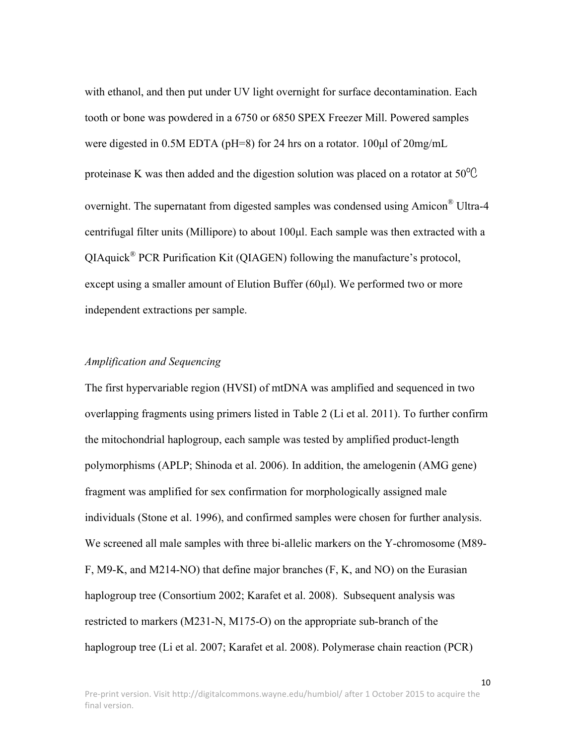with ethanol, and then put under UV light overnight for surface decontamination. Each tooth or bone was powdered in a 6750 or 6850 SPEX Freezer Mill. Powered samples were digested in 0.5M EDTA (pH=8) for 24 hrs on a rotator. 100µl of 20mg/mL proteinase K was then added and the digestion solution was placed on a rotator at  $50^{\circ}$ C overnight. The supernatant from digested samples was condensed using Amicon® Ultra-4 centrifugal filter units (Millipore) to about 100µl. Each sample was then extracted with a QIAquick® PCR Purification Kit (QIAGEN) following the manufacture's protocol, except using a smaller amount of Elution Buffer (60µl). We performed two or more independent extractions per sample.

# *Amplification and Sequencing*

The first hypervariable region (HVSI) of mtDNA was amplified and sequenced in two overlapping fragments using primers listed in Table 2 (Li et al. 2011). To further confirm the mitochondrial haplogroup, each sample was tested by amplified product-length polymorphisms (APLP; Shinoda et al. 2006). In addition, the amelogenin (AMG gene) fragment was amplified for sex confirmation for morphologically assigned male individuals (Stone et al. 1996), and confirmed samples were chosen for further analysis. We screened all male samples with three bi-allelic markers on the Y-chromosome (M89- F, M9-K, and M214-NO) that define major branches (F, K, and NO) on the Eurasian haplogroup tree (Consortium 2002; Karafet et al. 2008). Subsequent analysis was restricted to markers (M231-N, M175-O) on the appropriate sub-branch of the haplogroup tree (Li et al. 2007; Karafet et al. 2008). Polymerase chain reaction (PCR)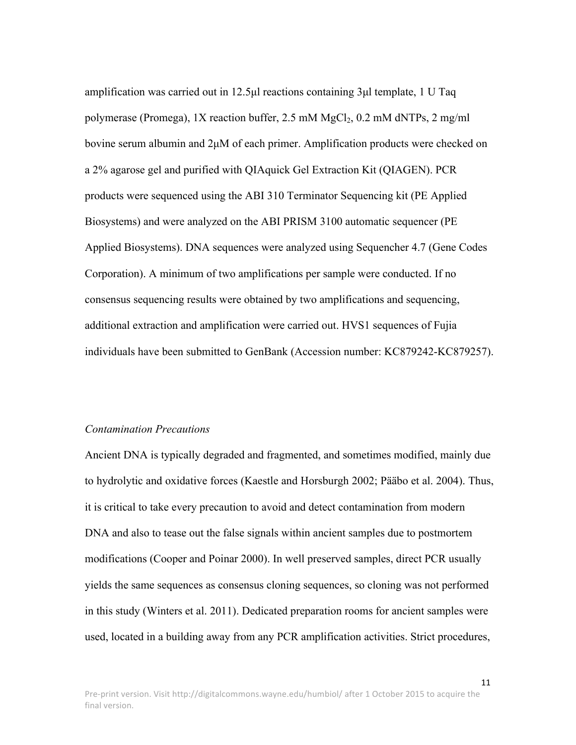amplification was carried out in 12.5µl reactions containing 3µl template, 1 U Taq polymerase (Promega), 1X reaction buffer, 2.5 mM  $MgCl<sub>2</sub>$ , 0.2 mM dNTPs, 2 mg/ml bovine serum albumin and 2µM of each primer. Amplification products were checked on a 2% agarose gel and purified with QIAquick Gel Extraction Kit (QIAGEN). PCR products were sequenced using the ABI 310 Terminator Sequencing kit (PE Applied Biosystems) and were analyzed on the ABI PRISM 3100 automatic sequencer (PE Applied Biosystems). DNA sequences were analyzed using Sequencher 4.7 (Gene Codes Corporation). A minimum of two amplifications per sample were conducted. If no consensus sequencing results were obtained by two amplifications and sequencing, additional extraction and amplification were carried out. HVS1 sequences of Fujia individuals have been submitted to GenBank (Accession number: KC879242-KC879257).

#### *Contamination Precautions*

Ancient DNA is typically degraded and fragmented, and sometimes modified, mainly due to hydrolytic and oxidative forces (Kaestle and Horsburgh 2002; Pääbo et al. 2004). Thus, it is critical to take every precaution to avoid and detect contamination from modern DNA and also to tease out the false signals within ancient samples due to postmortem modifications (Cooper and Poinar 2000). In well preserved samples, direct PCR usually yields the same sequences as consensus cloning sequences, so cloning was not performed in this study (Winters et al. 2011). Dedicated preparation rooms for ancient samples were used, located in a building away from any PCR amplification activities. Strict procedures,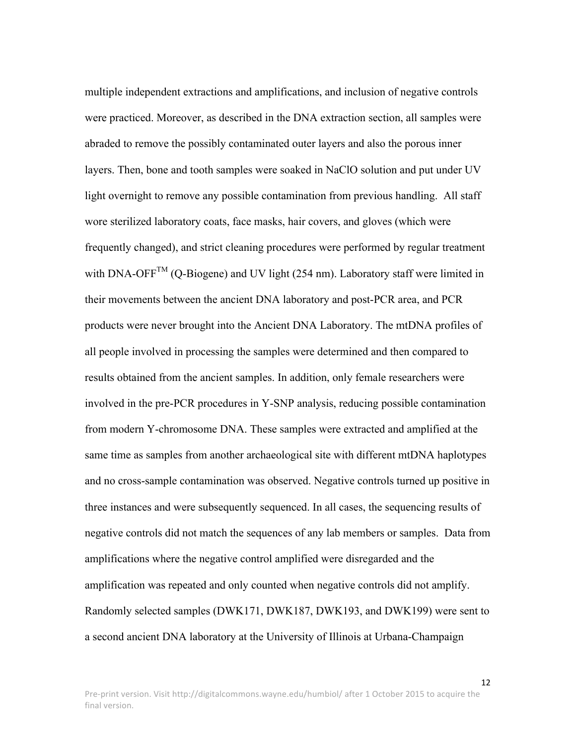multiple independent extractions and amplifications, and inclusion of negative controls were practiced. Moreover, as described in the DNA extraction section, all samples were abraded to remove the possibly contaminated outer layers and also the porous inner layers. Then, bone and tooth samples were soaked in NaClO solution and put under UV light overnight to remove any possible contamination from previous handling. All staff wore sterilized laboratory coats, face masks, hair covers, and gloves (which were frequently changed), and strict cleaning procedures were performed by regular treatment with DNA-OFF<sup>TM</sup> (Q-Biogene) and UV light (254 nm). Laboratory staff were limited in their movements between the ancient DNA laboratory and post-PCR area, and PCR products were never brought into the Ancient DNA Laboratory. The mtDNA profiles of all people involved in processing the samples were determined and then compared to results obtained from the ancient samples. In addition, only female researchers were involved in the pre-PCR procedures in Y-SNP analysis, reducing possible contamination from modern Y-chromosome DNA. These samples were extracted and amplified at the same time as samples from another archaeological site with different mtDNA haplotypes and no cross-sample contamination was observed. Negative controls turned up positive in three instances and were subsequently sequenced. In all cases, the sequencing results of negative controls did not match the sequences of any lab members or samples. Data from amplifications where the negative control amplified were disregarded and the amplification was repeated and only counted when negative controls did not amplify. Randomly selected samples (DWK171, DWK187, DWK193, and DWK199) were sent to a second ancient DNA laboratory at the University of Illinois at Urbana-Champaign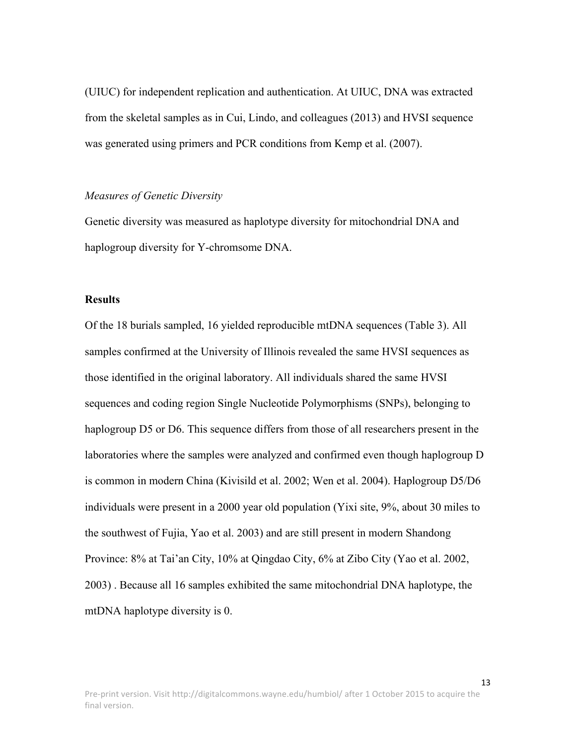(UIUC) for independent replication and authentication. At UIUC, DNA was extracted from the skeletal samples as in Cui, Lindo, and colleagues (2013) and HVSI sequence was generated using primers and PCR conditions from Kemp et al. (2007).

#### *Measures of Genetic Diversity*

Genetic diversity was measured as haplotype diversity for mitochondrial DNA and haplogroup diversity for Y-chromsome DNA.

#### **Results**

Of the 18 burials sampled, 16 yielded reproducible mtDNA sequences (Table 3). All samples confirmed at the University of Illinois revealed the same HVSI sequences as those identified in the original laboratory. All individuals shared the same HVSI sequences and coding region Single Nucleotide Polymorphisms (SNPs), belonging to haplogroup D5 or D6. This sequence differs from those of all researchers present in the laboratories where the samples were analyzed and confirmed even though haplogroup D is common in modern China (Kivisild et al. 2002; Wen et al. 2004). Haplogroup D5/D6 individuals were present in a 2000 year old population (Yixi site, 9%, about 30 miles to the southwest of Fujia, Yao et al. 2003) and are still present in modern Shandong Province: 8% at Tai'an City, 10% at Qingdao City, 6% at Zibo City (Yao et al. 2002, 2003) . Because all 16 samples exhibited the same mitochondrial DNA haplotype, the mtDNA haplotype diversity is 0.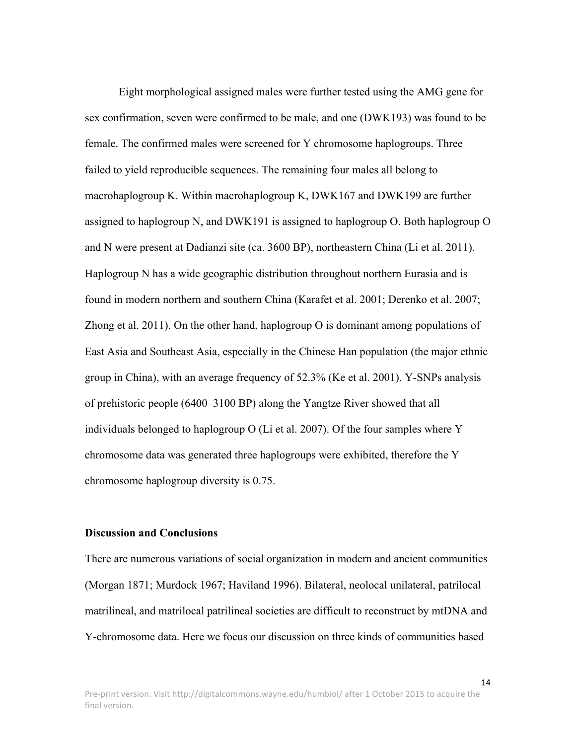Eight morphological assigned males were further tested using the AMG gene for sex confirmation, seven were confirmed to be male, and one (DWK193) was found to be female. The confirmed males were screened for Y chromosome haplogroups. Three failed to yield reproducible sequences. The remaining four males all belong to macrohaplogroup K. Within macrohaplogroup K, DWK167 and DWK199 are further assigned to haplogroup N, and DWK191 is assigned to haplogroup O. Both haplogroup O and N were present at Dadianzi site (ca. 3600 BP), northeastern China (Li et al. 2011). Haplogroup N has a wide geographic distribution throughout northern Eurasia and is found in modern northern and southern China (Karafet et al. 2001; Derenko et al. 2007; Zhong et al. 2011). On the other hand, haplogroup O is dominant among populations of East Asia and Southeast Asia, especially in the Chinese Han population (the major ethnic group in China), with an average frequency of 52.3% (Ke et al. 2001). Y-SNPs analysis of prehistoric people (6400–3100 BP) along the Yangtze River showed that all individuals belonged to haplogroup O (Li et al. 2007). Of the four samples where Y chromosome data was generated three haplogroups were exhibited, therefore the Y chromosome haplogroup diversity is 0.75.

# **Discussion and Conclusions**

There are numerous variations of social organization in modern and ancient communities (Morgan 1871; Murdock 1967; Haviland 1996). Bilateral, neolocal unilateral, patrilocal matrilineal, and matrilocal patrilineal societies are difficult to reconstruct by mtDNA and Y-chromosome data. Here we focus our discussion on three kinds of communities based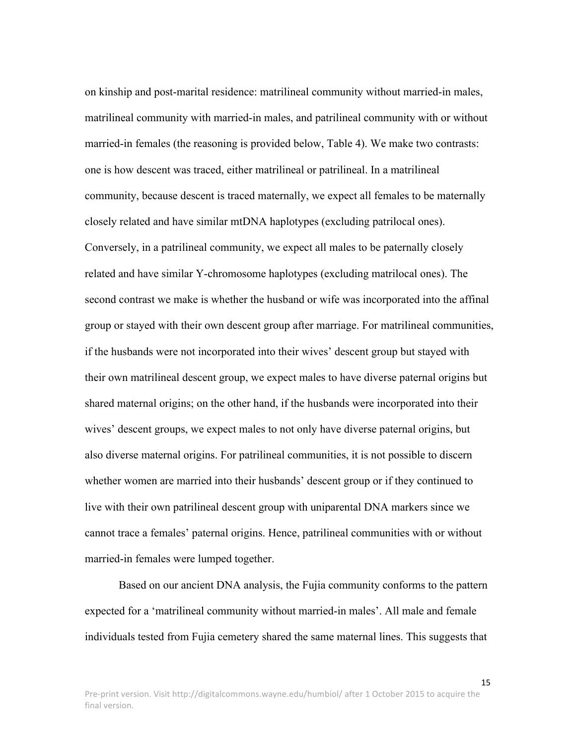on kinship and post-marital residence: matrilineal community without married-in males, matrilineal community with married-in males, and patrilineal community with or without married-in females (the reasoning is provided below, Table 4). We make two contrasts: one is how descent was traced, either matrilineal or patrilineal. In a matrilineal community, because descent is traced maternally, we expect all females to be maternally closely related and have similar mtDNA haplotypes (excluding patrilocal ones). Conversely, in a patrilineal community, we expect all males to be paternally closely related and have similar Y-chromosome haplotypes (excluding matrilocal ones). The second contrast we make is whether the husband or wife was incorporated into the affinal group or stayed with their own descent group after marriage. For matrilineal communities, if the husbands were not incorporated into their wives' descent group but stayed with their own matrilineal descent group, we expect males to have diverse paternal origins but shared maternal origins; on the other hand, if the husbands were incorporated into their wives' descent groups, we expect males to not only have diverse paternal origins, but also diverse maternal origins. For patrilineal communities, it is not possible to discern whether women are married into their husbands' descent group or if they continued to live with their own patrilineal descent group with uniparental DNA markers since we cannot trace a females' paternal origins. Hence, patrilineal communities with or without married-in females were lumped together.

Based on our ancient DNA analysis, the Fujia community conforms to the pattern expected for a 'matrilineal community without married-in males'. All male and female individuals tested from Fujia cemetery shared the same maternal lines. This suggests that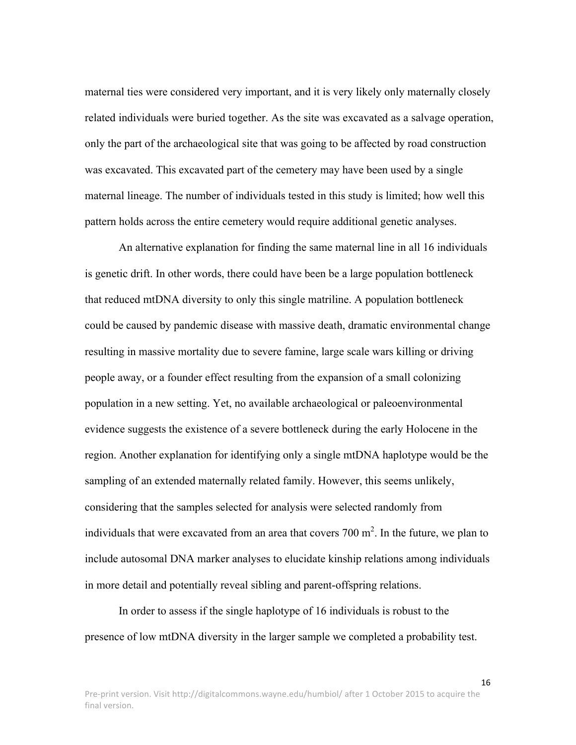maternal ties were considered very important, and it is very likely only maternally closely related individuals were buried together. As the site was excavated as a salvage operation, only the part of the archaeological site that was going to be affected by road construction was excavated. This excavated part of the cemetery may have been used by a single maternal lineage. The number of individuals tested in this study is limited; how well this pattern holds across the entire cemetery would require additional genetic analyses.

An alternative explanation for finding the same maternal line in all 16 individuals is genetic drift. In other words, there could have been be a large population bottleneck that reduced mtDNA diversity to only this single matriline. A population bottleneck could be caused by pandemic disease with massive death, dramatic environmental change resulting in massive mortality due to severe famine, large scale wars killing or driving people away, or a founder effect resulting from the expansion of a small colonizing population in a new setting. Yet, no available archaeological or paleoenvironmental evidence suggests the existence of a severe bottleneck during the early Holocene in the region. Another explanation for identifying only a single mtDNA haplotype would be the sampling of an extended maternally related family. However, this seems unlikely, considering that the samples selected for analysis were selected randomly from individuals that were excavated from an area that covers  $700 \text{ m}^2$ . In the future, we plan to include autosomal DNA marker analyses to elucidate kinship relations among individuals in more detail and potentially reveal sibling and parent-offspring relations.

In order to assess if the single haplotype of 16 individuals is robust to the presence of low mtDNA diversity in the larger sample we completed a probability test.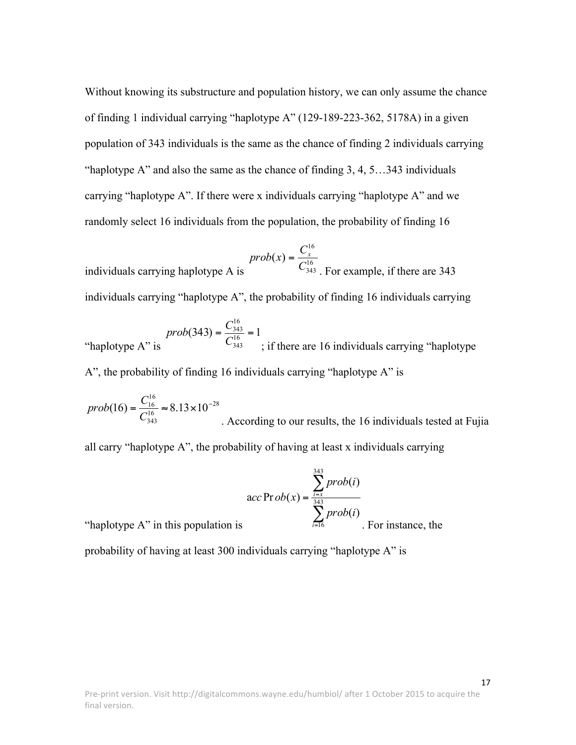Without knowing its substructure and population history, we can only assume the chance of finding 1 individual carrying "haplotype A" (129-189-223-362, 5178A) in a given population of 343 individuals is the same as the chance of finding 2 individuals carrying "haplotype A" and also the same as the chance of finding 3, 4, 5…343 individuals carrying "haplotype A". If there were x individuals carrying "haplotype A" and we randomly select 16 individuals from the population, the probability of finding 16

individuals carrying haplotype A is 16 343 16  $prob(x) = \frac{C_x^{10}}{C_x^{10}}$ . For example, if there are 343 individuals carrying "haplotype A", the probability of finding 16 individuals carrying

*prob*(343) = 
$$
\frac{C_{343}^{16}}{C_{343}^{16}}
$$
 = 1  
 "haplotype A" is "i of finding 16 individuals carrying "haplotype A".

28 16 343 16  $(16) = \frac{C_{16}}{c_{16}} \approx 8.13 \times 10^{-7}$ *C*  $prob(16) = \frac{C}{2}$ . According to our results, the 16 individuals tested at Fujia

all carry "haplotype A", the probability of having at least x individuals carrying

$$
\text{acc Pr}\,ob(x) = \frac{\sum_{i=x}^{343} prob(i)}{\sum_{i=16}^{343} prob(i)}
$$
. For instance, the

"haplotype  $A$ " in this population is

probability of having at least 300 individuals carrying "haplotype A" is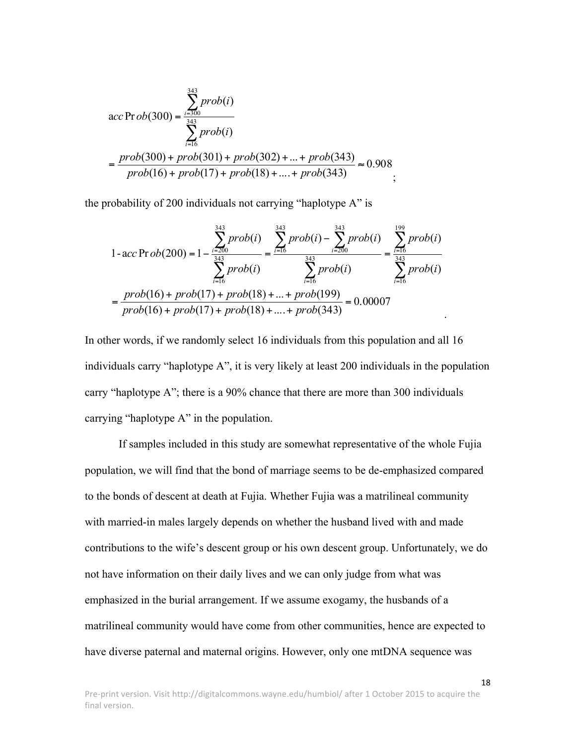$$
\text{acc Pr ob}(300) = \frac{\sum_{i=300}^{343} prob(i)}{\sum_{i=16}^{343} prob(i)}
$$
  
= 
$$
\frac{prob(300) + prob(301) + prob(302) + ... + prob(343)}{prob(16) + prob(17) + prob(18) + ... + prob(343)} \approx 0.908
$$

the probability of 200 individuals not carrying "haplotype A" is

$$
1 - acc \operatorname{Prob}(200) = 1 - \frac{\sum_{i=200}^{343} prob(i)}{\sum_{i=16}^{343} prob(i)} = \frac{\sum_{i=16}^{343} prob(i) - \sum_{i=200}^{343} prob(i)}{\sum_{i=16}^{343} prob(i)} = \frac{\sum_{i=16}^{399} prob(i)}{\sum_{i=16}^{343} prob(i)} = \frac{prob(16) + prob(17) + prob(18) + ... + prob(199)}{prob(16) + prob(17) + prob(18) + ... + prob(343)} = 0.00007
$$

In other words, if we randomly select 16 individuals from this population and all 16 individuals carry "haplotype A", it is very likely at least 200 individuals in the population carry "haplotype A"; there is a 90% chance that there are more than 300 individuals carrying "haplotype A" in the population.

If samples included in this study are somewhat representative of the whole Fujia population, we will find that the bond of marriage seems to be de-emphasized compared to the bonds of descent at death at Fujia. Whether Fujia was a matrilineal community with married-in males largely depends on whether the husband lived with and made contributions to the wife's descent group or his own descent group. Unfortunately, we do not have information on their daily lives and we can only judge from what was emphasized in the burial arrangement. If we assume exogamy, the husbands of a matrilineal community would have come from other communities, hence are expected to have diverse paternal and maternal origins. However, only one mtDNA sequence was

18

.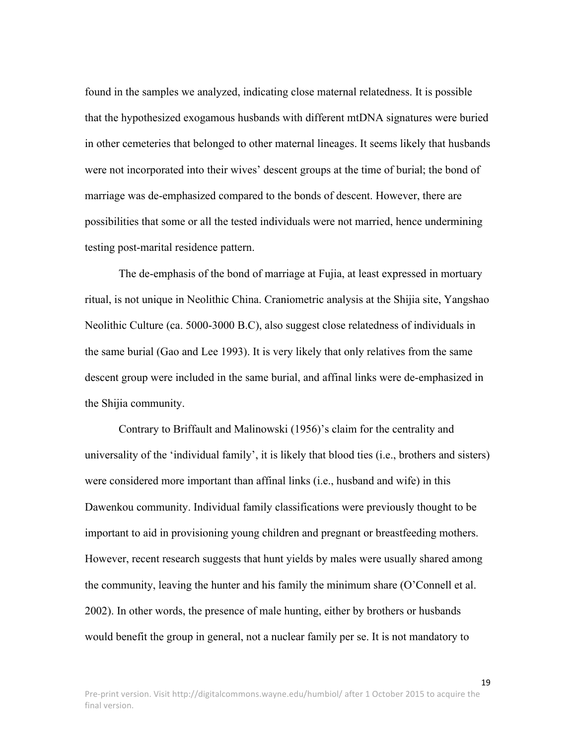found in the samples we analyzed, indicating close maternal relatedness. It is possible that the hypothesized exogamous husbands with different mtDNA signatures were buried in other cemeteries that belonged to other maternal lineages. It seems likely that husbands were not incorporated into their wives' descent groups at the time of burial; the bond of marriage was de-emphasized compared to the bonds of descent. However, there are possibilities that some or all the tested individuals were not married, hence undermining testing post-marital residence pattern.

The de-emphasis of the bond of marriage at Fujia, at least expressed in mortuary ritual, is not unique in Neolithic China. Craniometric analysis at the Shijia site, Yangshao Neolithic Culture (ca. 5000-3000 B.C), also suggest close relatedness of individuals in the same burial (Gao and Lee 1993). It is very likely that only relatives from the same descent group were included in the same burial, and affinal links were de-emphasized in the Shijia community.

Contrary to Briffault and Malinowski (1956)'s claim for the centrality and universality of the 'individual family', it is likely that blood ties (i.e., brothers and sisters) were considered more important than affinal links (i.e., husband and wife) in this Dawenkou community. Individual family classifications were previously thought to be important to aid in provisioning young children and pregnant or breastfeeding mothers. However, recent research suggests that hunt yields by males were usually shared among the community, leaving the hunter and his family the minimum share (O'Connell et al. 2002). In other words, the presence of male hunting, either by brothers or husbands would benefit the group in general, not a nuclear family per se. It is not mandatory to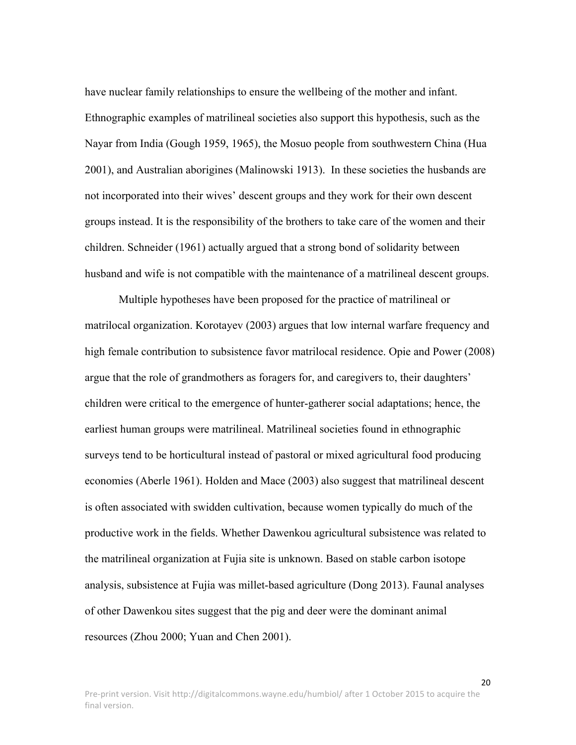have nuclear family relationships to ensure the wellbeing of the mother and infant. Ethnographic examples of matrilineal societies also support this hypothesis, such as the Nayar from India (Gough 1959, 1965), the Mosuo people from southwestern China (Hua 2001), and Australian aborigines (Malinowski 1913). In these societies the husbands are not incorporated into their wives' descent groups and they work for their own descent groups instead. It is the responsibility of the brothers to take care of the women and their children. Schneider (1961) actually argued that a strong bond of solidarity between husband and wife is not compatible with the maintenance of a matrilineal descent groups.

Multiple hypotheses have been proposed for the practice of matrilineal or matrilocal organization. Korotayev (2003) argues that low internal warfare frequency and high female contribution to subsistence favor matrilocal residence. Opie and Power (2008) argue that the role of grandmothers as foragers for, and caregivers to, their daughters' children were critical to the emergence of hunter-gatherer social adaptations; hence, the earliest human groups were matrilineal. Matrilineal societies found in ethnographic surveys tend to be horticultural instead of pastoral or mixed agricultural food producing economies (Aberle 1961). Holden and Mace (2003) also suggest that matrilineal descent is often associated with swidden cultivation, because women typically do much of the productive work in the fields. Whether Dawenkou agricultural subsistence was related to the matrilineal organization at Fujia site is unknown. Based on stable carbon isotope analysis, subsistence at Fujia was millet-based agriculture (Dong 2013). Faunal analyses of other Dawenkou sites suggest that the pig and deer were the dominant animal resources (Zhou 2000; Yuan and Chen 2001).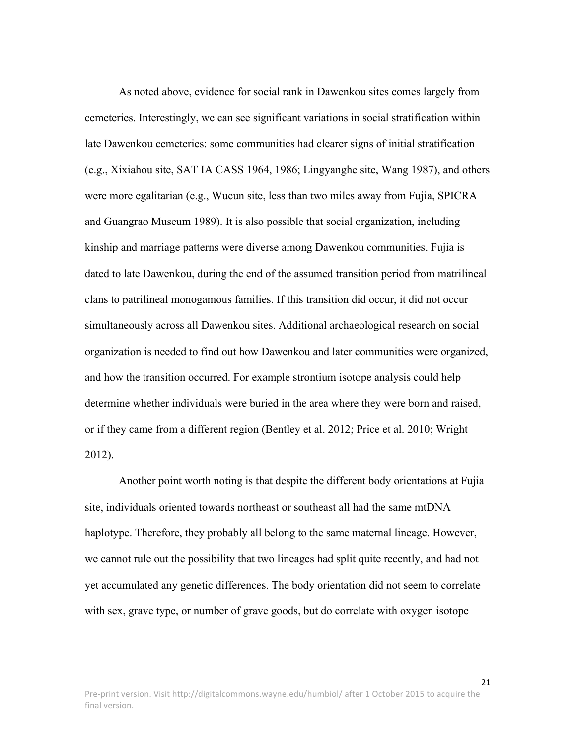As noted above, evidence for social rank in Dawenkou sites comes largely from cemeteries. Interestingly, we can see significant variations in social stratification within late Dawenkou cemeteries: some communities had clearer signs of initial stratification (e.g., Xixiahou site, SAT IA CASS 1964, 1986; Lingyanghe site, Wang 1987), and others were more egalitarian (e.g., Wucun site, less than two miles away from Fujia, SPICRA and Guangrao Museum 1989). It is also possible that social organization, including kinship and marriage patterns were diverse among Dawenkou communities. Fujia is dated to late Dawenkou, during the end of the assumed transition period from matrilineal clans to patrilineal monogamous families. If this transition did occur, it did not occur simultaneously across all Dawenkou sites. Additional archaeological research on social organization is needed to find out how Dawenkou and later communities were organized, and how the transition occurred. For example strontium isotope analysis could help determine whether individuals were buried in the area where they were born and raised, or if they came from a different region (Bentley et al. 2012; Price et al. 2010; Wright 2012).

Another point worth noting is that despite the different body orientations at Fujia site, individuals oriented towards northeast or southeast all had the same mtDNA haplotype. Therefore, they probably all belong to the same maternal lineage. However, we cannot rule out the possibility that two lineages had split quite recently, and had not yet accumulated any genetic differences. The body orientation did not seem to correlate with sex, grave type, or number of grave goods, but do correlate with oxygen isotope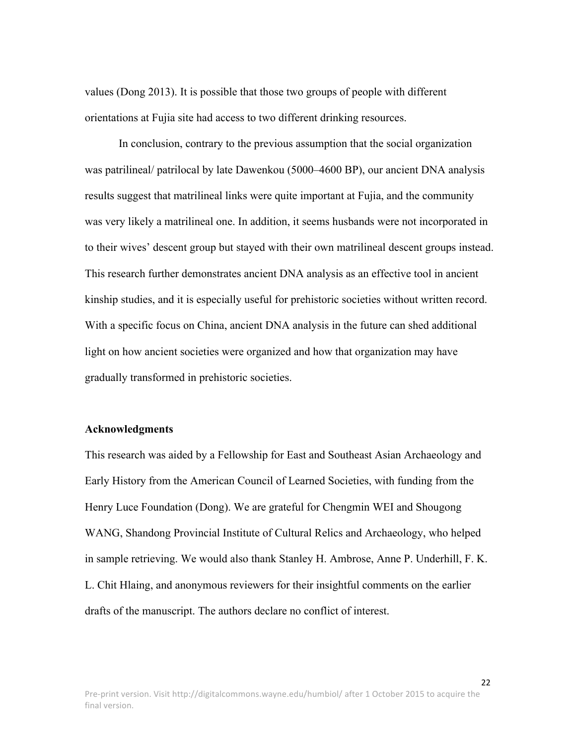values (Dong 2013). It is possible that those two groups of people with different orientations at Fujia site had access to two different drinking resources.

In conclusion, contrary to the previous assumption that the social organization was patrilineal/ patrilocal by late Dawenkou (5000–4600 BP), our ancient DNA analysis results suggest that matrilineal links were quite important at Fujia, and the community was very likely a matrilineal one. In addition, it seems husbands were not incorporated in to their wives' descent group but stayed with their own matrilineal descent groups instead. This research further demonstrates ancient DNA analysis as an effective tool in ancient kinship studies, and it is especially useful for prehistoric societies without written record. With a specific focus on China, ancient DNA analysis in the future can shed additional light on how ancient societies were organized and how that organization may have gradually transformed in prehistoric societies.

#### **Acknowledgments**

This research was aided by a Fellowship for East and Southeast Asian Archaeology and Early History from the American Council of Learned Societies, with funding from the Henry Luce Foundation (Dong). We are grateful for Chengmin WEI and Shougong WANG, Shandong Provincial Institute of Cultural Relics and Archaeology, who helped in sample retrieving. We would also thank Stanley H. Ambrose, Anne P. Underhill, F. K. L. Chit Hlaing, and anonymous reviewers for their insightful comments on the earlier drafts of the manuscript. The authors declare no conflict of interest.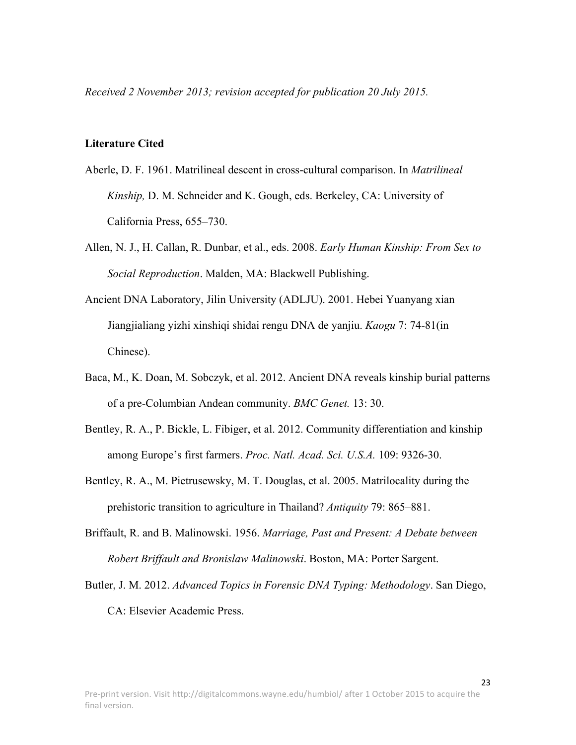*Received 2 November 2013; revision accepted for publication 20 July 2015.*

#### **Literature Cited**

- Aberle, D. F. 1961. Matrilineal descent in cross-cultural comparison. In *Matrilineal Kinship,* D. M. Schneider and K. Gough, eds. Berkeley, CA: University of California Press, 655–730.
- Allen, N. J., H. Callan, R. Dunbar, et al., eds. 2008. *Early Human Kinship: From Sex to Social Reproduction*. Malden, MA: Blackwell Publishing.
- Ancient DNA Laboratory, Jilin University (ADLJU). 2001. Hebei Yuanyang xian Jiangjialiang yizhi xinshiqi shidai rengu DNA de yanjiu. *Kaogu* 7: 74-81(in Chinese).
- Baca, M., K. Doan, M. Sobczyk, et al. 2012. Ancient DNA reveals kinship burial patterns of a pre-Columbian Andean community. *BMC Genet.* 13: 30.
- Bentley, R. A., P. Bickle, L. Fibiger, et al. 2012. Community differentiation and kinship among Europe's first farmers. *Proc. Natl. Acad. Sci. U.S.A.* 109: 9326-30.
- Bentley, R. A., M. Pietrusewsky, M. T. Douglas, et al. 2005. Matrilocality during the prehistoric transition to agriculture in Thailand? *Antiquity* 79: 865–881.
- Briffault, R. and B. Malinowski. 1956. *Marriage, Past and Present: A Debate between Robert Briffault and Bronislaw Malinowski*. Boston, MA: Porter Sargent.
- Butler, J. M. 2012. *Advanced Topics in Forensic DNA Typing: Methodology*. San Diego, CA: Elsevier Academic Press.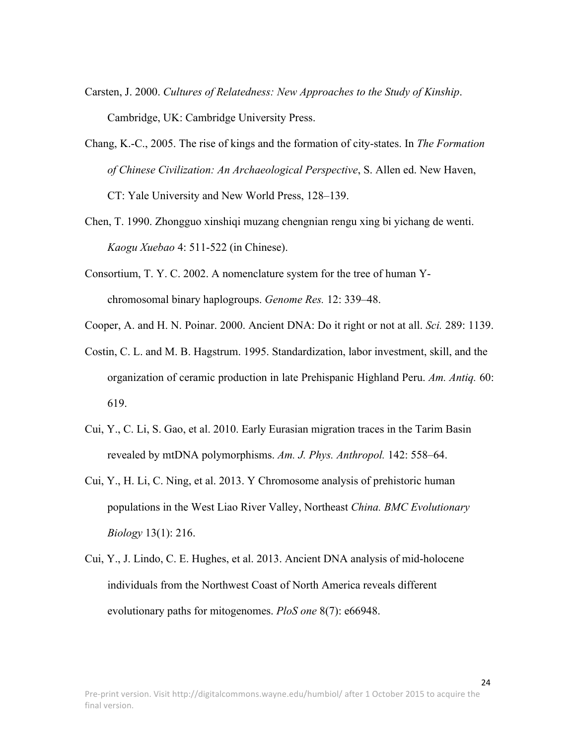- Carsten, J. 2000. *Cultures of Relatedness: New Approaches to the Study of Kinship*. Cambridge, UK: Cambridge University Press.
- Chang, K.-C., 2005. The rise of kings and the formation of city-states. In *The Formation of Chinese Civilization: An Archaeological Perspective*, S. Allen ed. New Haven, CT: Yale University and New World Press, 128–139.
- Chen, T. 1990. Zhongguo xinshiqi muzang chengnian rengu xing bi yichang de wenti. *Kaogu Xuebao* 4: 511-522 (in Chinese).
- Consortium, T. Y. C. 2002. A nomenclature system for the tree of human Ychromosomal binary haplogroups. *Genome Res.* 12: 339–48.
- Cooper, A. and H. N. Poinar. 2000. Ancient DNA: Do it right or not at all. *Sci.* 289: 1139.
- Costin, C. L. and M. B. Hagstrum. 1995. Standardization, labor investment, skill, and the organization of ceramic production in late Prehispanic Highland Peru. *Am. Antiq.* 60: 619.
- Cui, Y., C. Li, S. Gao, et al. 2010. Early Eurasian migration traces in the Tarim Basin revealed by mtDNA polymorphisms. *Am. J. Phys. Anthropol.* 142: 558–64.
- Cui, Y., H. Li, C. Ning, et al. 2013. Y Chromosome analysis of prehistoric human populations in the West Liao River Valley, Northeast *China. BMC Evolutionary Biology* 13(1): 216.
- Cui, Y., J. Lindo, C. E. Hughes, et al. 2013. Ancient DNA analysis of mid-holocene individuals from the Northwest Coast of North America reveals different evolutionary paths for mitogenomes. *PloS one* 8(7): e66948.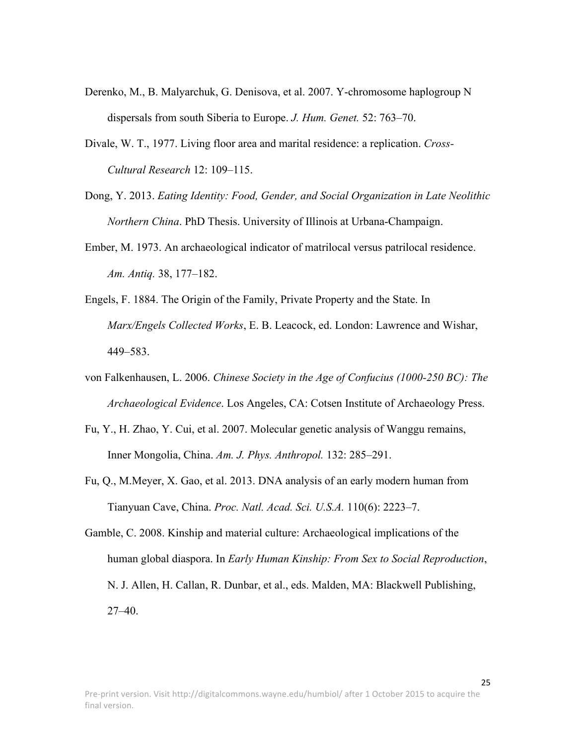- Derenko, M., B. Malyarchuk, G. Denisova, et al. 2007. Y-chromosome haplogroup N dispersals from south Siberia to Europe. *J. Hum. Genet.* 52: 763–70.
- Divale, W. T., 1977. Living floor area and marital residence: a replication. *Cross-Cultural Research* 12: 109–115.
- Dong, Y. 2013. *Eating Identity: Food, Gender, and Social Organization in Late Neolithic Northern China*. PhD Thesis. University of Illinois at Urbana-Champaign.
- Ember, M. 1973. An archaeological indicator of matrilocal versus patrilocal residence. *Am. Antiq.* 38, 177–182.
- Engels, F. 1884. The Origin of the Family, Private Property and the State. In *Marx/Engels Collected Works*, E. B. Leacock, ed. London: Lawrence and Wishar, 449–583.
- von Falkenhausen, L. 2006. *Chinese Society in the Age of Confucius (1000-250 BC): The Archaeological Evidence*. Los Angeles, CA: Cotsen Institute of Archaeology Press.
- Fu, Y., H. Zhao, Y. Cui, et al. 2007. Molecular genetic analysis of Wanggu remains, Inner Mongolia, China. *Am. J. Phys. Anthropol.* 132: 285–291.
- Fu, Q., M.Meyer, X. Gao, et al. 2013. DNA analysis of an early modern human from Tianyuan Cave, China. *Proc. Natl. Acad. Sci. U.S.A.* 110(6): 2223–7.
- Gamble, C. 2008. Kinship and material culture: Archaeological implications of the human global diaspora. In *Early Human Kinship: From Sex to Social Reproduction*, N. J. Allen, H. Callan, R. Dunbar, et al., eds. Malden, MA: Blackwell Publishing, 27–40.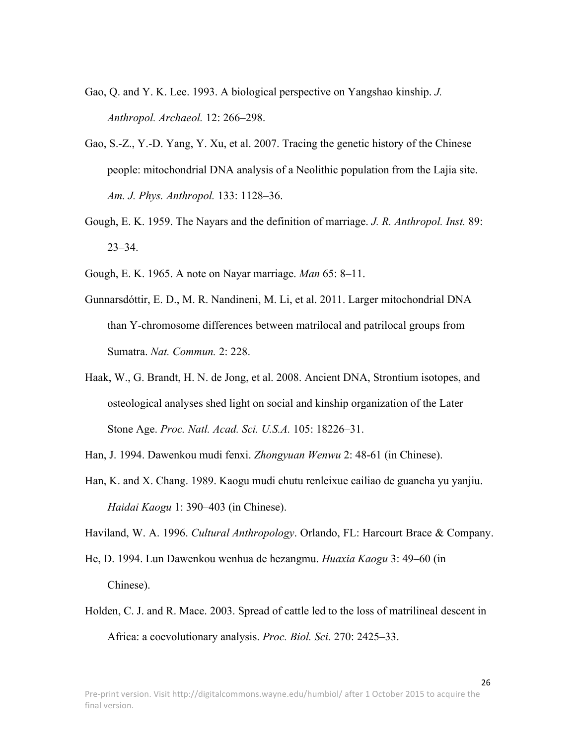- Gao, Q. and Y. K. Lee. 1993. A biological perspective on Yangshao kinship. *J. Anthropol. Archaeol.* 12: 266–298.
- Gao, S.-Z., Y.-D. Yang, Y. Xu, et al. 2007. Tracing the genetic history of the Chinese people: mitochondrial DNA analysis of a Neolithic population from the Lajia site. *Am. J. Phys. Anthropol.* 133: 1128–36.
- Gough, E. K. 1959. The Nayars and the definition of marriage. *J. R. Anthropol. Inst.* 89: 23–34.
- Gough, E. K. 1965. A note on Nayar marriage. *Man* 65: 8–11.
- Gunnarsdóttir, E. D., M. R. Nandineni, M. Li, et al. 2011. Larger mitochondrial DNA than Y-chromosome differences between matrilocal and patrilocal groups from Sumatra. *Nat. Commun.* 2: 228.
- Haak, W., G. Brandt, H. N. de Jong, et al. 2008. Ancient DNA, Strontium isotopes, and osteological analyses shed light on social and kinship organization of the Later Stone Age. *Proc. Natl. Acad. Sci. U.S.A.* 105: 18226–31.

Han, J. 1994. Dawenkou mudi fenxi. *Zhongyuan Wenwu* 2: 48-61 (in Chinese).

Han, K. and X. Chang. 1989. Kaogu mudi chutu renleixue cailiao de guancha yu yanjiu. *Haidai Kaogu* 1: 390–403 (in Chinese).

Haviland, W. A. 1996. *Cultural Anthropology*. Orlando, FL: Harcourt Brace & Company.

- He, D. 1994. Lun Dawenkou wenhua de hezangmu. *Huaxia Kaogu* 3: 49–60 (in Chinese).
- Holden, C. J. and R. Mace. 2003. Spread of cattle led to the loss of matrilineal descent in Africa: a coevolutionary analysis. *Proc. Biol. Sci.* 270: 2425–33.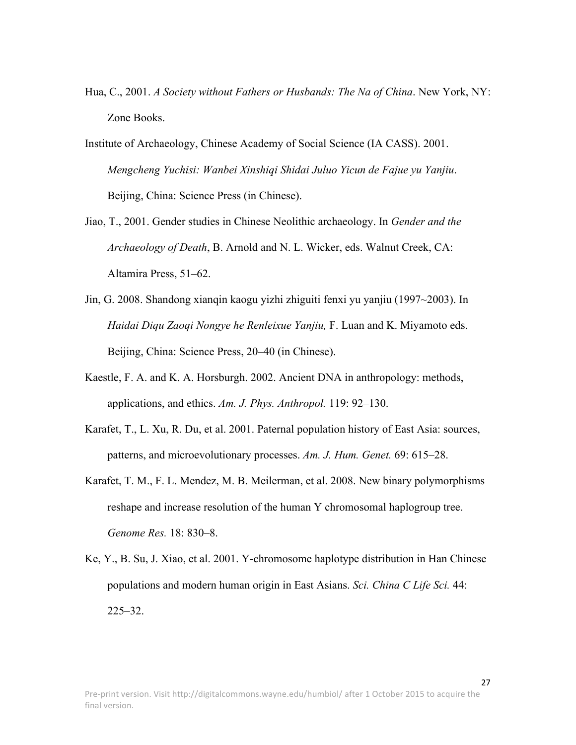- Hua, C., 2001. *A Society without Fathers or Husbands: The Na of China*. New York, NY: Zone Books.
- Institute of Archaeology, Chinese Academy of Social Science (IA CASS). 2001. *Mengcheng Yuchisi: Wanbei Xinshiqi Shidai Juluo Yicun de Fajue yu Yanjiu*. Beijing, China: Science Press (in Chinese).
- Jiao, T., 2001. Gender studies in Chinese Neolithic archaeology. In *Gender and the Archaeology of Death*, B. Arnold and N. L. Wicker, eds. Walnut Creek, CA: Altamira Press, 51–62.
- Jin, G. 2008. Shandong xianqin kaogu yizhi zhiguiti fenxi yu yanjiu (1997~2003). In *Haidai Diqu Zaoqi Nongye he Renleixue Yanjiu,* F. Luan and K. Miyamoto eds. Beijing, China: Science Press, 20–40 (in Chinese).
- Kaestle, F. A. and K. A. Horsburgh. 2002. Ancient DNA in anthropology: methods, applications, and ethics. *Am. J. Phys. Anthropol.* 119: 92–130.
- Karafet, T., L. Xu, R. Du, et al. 2001. Paternal population history of East Asia: sources, patterns, and microevolutionary processes. *Am. J. Hum. Genet.* 69: 615–28.
- Karafet, T. M., F. L. Mendez, M. B. Meilerman, et al. 2008. New binary polymorphisms reshape and increase resolution of the human Y chromosomal haplogroup tree. *Genome Res.* 18: 830–8.
- Ke, Y., B. Su, J. Xiao, et al. 2001. Y-chromosome haplotype distribution in Han Chinese populations and modern human origin in East Asians. *Sci. China C Life Sci.* 44: 225–32.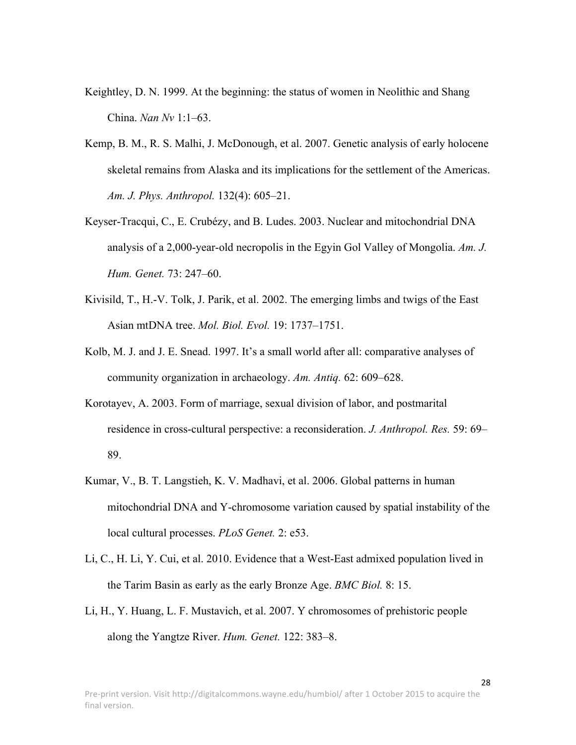- Keightley, D. N. 1999. At the beginning: the status of women in Neolithic and Shang China. *Nan Nv* 1:1–63.
- Kemp, B. M., R. S. Malhi, J. McDonough, et al. 2007. Genetic analysis of early holocene skeletal remains from Alaska and its implications for the settlement of the Americas. *Am. J. Phys. Anthropol.* 132(4): 605–21.
- Keyser-Tracqui, C., E. Crubézy, and B. Ludes. 2003. Nuclear and mitochondrial DNA analysis of a 2,000-year-old necropolis in the Egyin Gol Valley of Mongolia. *Am. J. Hum. Genet.* 73: 247–60.
- Kivisild, T., H.-V. Tolk, J. Parik, et al. 2002. The emerging limbs and twigs of the East Asian mtDNA tree. *Mol. Biol. Evol.* 19: 1737–1751.
- Kolb, M. J. and J. E. Snead. 1997. It's a small world after all: comparative analyses of community organization in archaeology. *Am. Antiq.* 62: 609–628.
- Korotayev, A. 2003. Form of marriage, sexual division of labor, and postmarital residence in cross-cultural perspective: a reconsideration. *J. Anthropol. Res.* 59: 69– 89.
- Kumar, V., B. T. Langstieh, K. V. Madhavi, et al. 2006. Global patterns in human mitochondrial DNA and Y-chromosome variation caused by spatial instability of the local cultural processes. *PLoS Genet.* 2: e53.
- Li, C., H. Li, Y. Cui, et al. 2010. Evidence that a West-East admixed population lived in the Tarim Basin as early as the early Bronze Age. *BMC Biol.* 8: 15.
- Li, H., Y. Huang, L. F. Mustavich, et al. 2007. Y chromosomes of prehistoric people along the Yangtze River. *Hum. Genet.* 122: 383–8.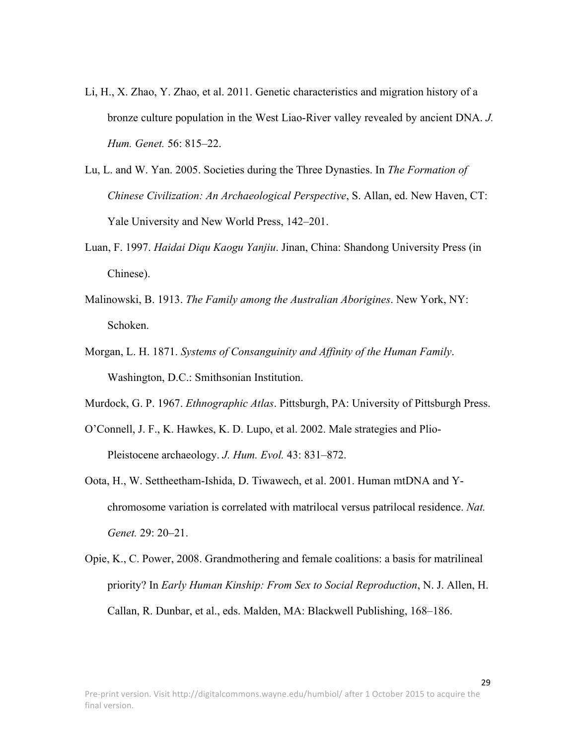- Li, H., X. Zhao, Y. Zhao, et al. 2011. Genetic characteristics and migration history of a bronze culture population in the West Liao-River valley revealed by ancient DNA. *J. Hum. Genet.* 56: 815–22.
- Lu, L. and W. Yan. 2005. Societies during the Three Dynasties. In *The Formation of Chinese Civilization: An Archaeological Perspective*, S. Allan, ed. New Haven, CT: Yale University and New World Press, 142–201.
- Luan, F. 1997. *Haidai Diqu Kaogu Yanjiu*. Jinan, China: Shandong University Press (in Chinese).
- Malinowski, B. 1913. *The Family among the Australian Aborigines*. New York, NY: Schoken.
- Morgan, L. H. 1871. *Systems of Consanguinity and Affinity of the Human Family*. Washington, D.C.: Smithsonian Institution.
- Murdock, G. P. 1967. *Ethnographic Atlas*. Pittsburgh, PA: University of Pittsburgh Press.
- O'Connell, J. F., K. Hawkes, K. D. Lupo, et al. 2002. Male strategies and Plio-Pleistocene archaeology. *J. Hum. Evol.* 43: 831–872.
- Oota, H., W. Settheetham-Ishida, D. Tiwawech, et al. 2001. Human mtDNA and Ychromosome variation is correlated with matrilocal versus patrilocal residence. *Nat. Genet.* 29: 20–21.
- Opie, K., C. Power, 2008. Grandmothering and female coalitions: a basis for matrilineal priority? In *Early Human Kinship: From Sex to Social Reproduction*, N. J. Allen, H. Callan, R. Dunbar, et al., eds. Malden, MA: Blackwell Publishing, 168–186.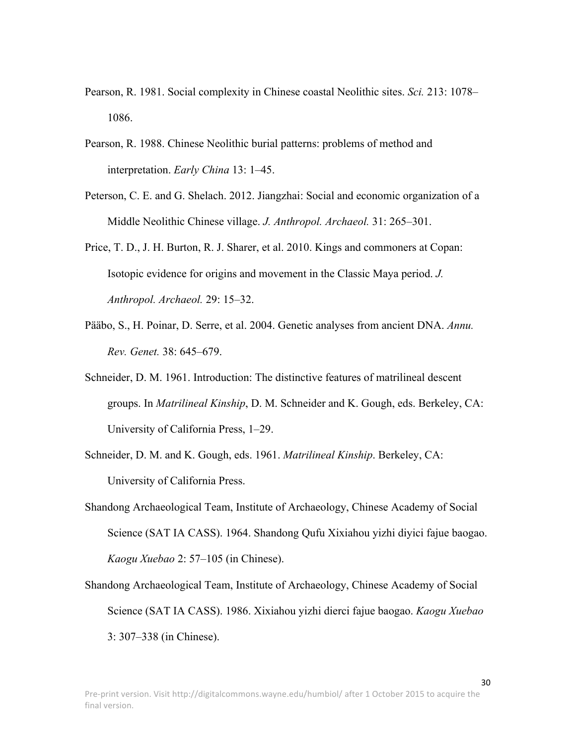- Pearson, R. 1981. Social complexity in Chinese coastal Neolithic sites. *Sci.* 213: 1078– 1086.
- Pearson, R. 1988. Chinese Neolithic burial patterns: problems of method and interpretation. *Early China* 13: 1–45.
- Peterson, C. E. and G. Shelach. 2012. Jiangzhai: Social and economic organization of a Middle Neolithic Chinese village. *J. Anthropol. Archaeol.* 31: 265–301.
- Price, T. D., J. H. Burton, R. J. Sharer, et al. 2010. Kings and commoners at Copan: Isotopic evidence for origins and movement in the Classic Maya period. *J. Anthropol. Archaeol.* 29: 15–32.
- Pääbo, S., H. Poinar, D. Serre, et al. 2004. Genetic analyses from ancient DNA. *Annu. Rev. Genet.* 38: 645–679.
- Schneider, D. M. 1961. Introduction: The distinctive features of matrilineal descent groups. In *Matrilineal Kinship*, D. M. Schneider and K. Gough, eds. Berkeley, CA: University of California Press, 1–29.
- Schneider, D. M. and K. Gough, eds. 1961. *Matrilineal Kinship*. Berkeley, CA: University of California Press.
- Shandong Archaeological Team, Institute of Archaeology, Chinese Academy of Social Science (SAT IA CASS). 1964. Shandong Qufu Xixiahou yizhi diyici fajue baogao. *Kaogu Xuebao* 2: 57–105 (in Chinese).
- Shandong Archaeological Team, Institute of Archaeology, Chinese Academy of Social Science (SAT IA CASS). 1986. Xixiahou yizhi dierci fajue baogao. *Kaogu Xuebao* 3: 307–338 (in Chinese).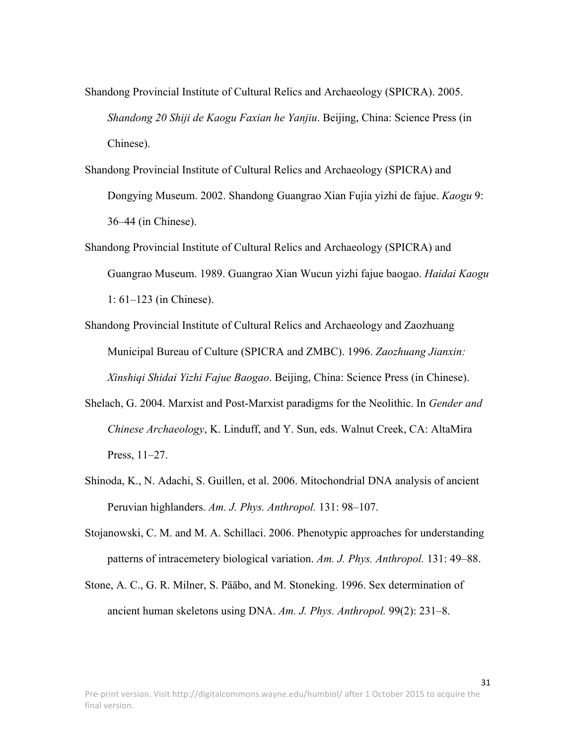Shandong Provincial Institute of Cultural Relics and Archaeology (SPICRA). 2005. *Shandong 20 Shiji de Kaogu Faxian he Yanjiu*. Beijing, China: Science Press (in Chinese).

Shandong Provincial Institute of Cultural Relics and Archaeology (SPICRA) and Dongying Museum. 2002. Shandong Guangrao Xian Fujia yizhi de fajue. *Kaogu* 9: 36–44 (in Chinese).

Shandong Provincial Institute of Cultural Relics and Archaeology (SPICRA) and Guangrao Museum. 1989. Guangrao Xian Wucun yizhi fajue baogao. *Haidai Kaogu* 1: 61–123 (in Chinese).

Shandong Provincial Institute of Cultural Relics and Archaeology and Zaozhuang Municipal Bureau of Culture (SPICRA and ZMBC). 1996. *Zaozhuang Jianxin: Xinshiqi Shidai Yizhi Fajue Baogao*. Beijing, China: Science Press (in Chinese).

- Shelach, G. 2004. Marxist and Post-Marxist paradigms for the Neolithic. In *Gender and Chinese Archaeology*, K. Linduff, and Y. Sun, eds. Walnut Creek, CA: AltaMira Press, 11–27.
- Shinoda, K., N. Adachi, S. Guillen, et al. 2006. Mitochondrial DNA analysis of ancient Peruvian highlanders. *Am. J. Phys. Anthropol.* 131: 98–107.
- Stojanowski, C. M. and M. A. Schillaci. 2006. Phenotypic approaches for understanding patterns of intracemetery biological variation. *Am. J. Phys. Anthropol.* 131: 49–88.
- Stone, A. C., G. R. Milner, S. Pääbo, and M. Stoneking. 1996. Sex determination of ancient human skeletons using DNA. *Am. J. Phys. Anthropol.* 99(2): 231–8.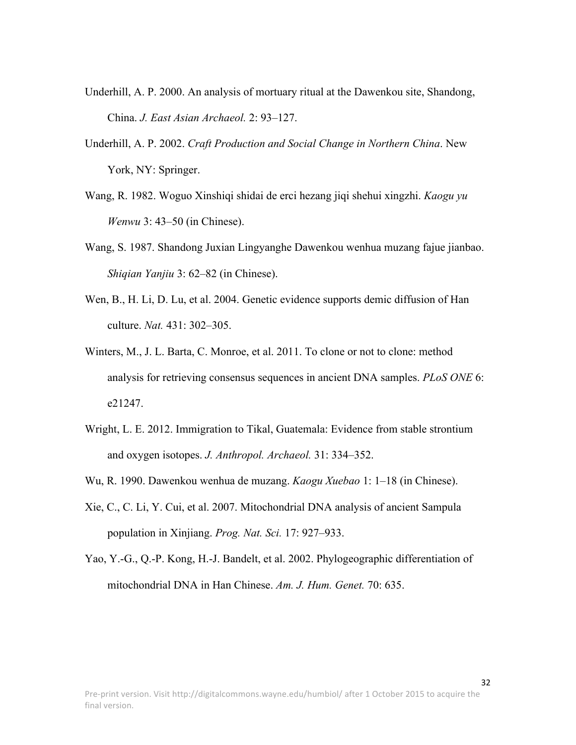- Underhill, A. P. 2000. An analysis of mortuary ritual at the Dawenkou site, Shandong, China. *J. East Asian Archaeol.* 2: 93–127.
- Underhill, A. P. 2002. *Craft Production and Social Change in Northern China*. New York, NY: Springer.
- Wang, R. 1982. Woguo Xinshiqi shidai de erci hezang jiqi shehui xingzhi. *Kaogu yu Wenwu* 3: 43–50 (in Chinese).
- Wang, S. 1987. Shandong Juxian Lingyanghe Dawenkou wenhua muzang fajue jianbao. *Shiqian Yanjiu* 3: 62–82 (in Chinese).
- Wen, B., H. Li, D. Lu, et al. 2004. Genetic evidence supports demic diffusion of Han culture. *Nat.* 431: 302–305.
- Winters, M., J. L. Barta, C. Monroe, et al. 2011. To clone or not to clone: method analysis for retrieving consensus sequences in ancient DNA samples. *PLoS ONE* 6: e21247.
- Wright, L. E. 2012. Immigration to Tikal, Guatemala: Evidence from stable strontium and oxygen isotopes. *J. Anthropol. Archaeol.* 31: 334–352.
- Wu, R. 1990. Dawenkou wenhua de muzang. *Kaogu Xuebao* 1: 1–18 (in Chinese).
- Xie, C., C. Li, Y. Cui, et al. 2007. Mitochondrial DNA analysis of ancient Sampula population in Xinjiang. *Prog. Nat. Sci.* 17: 927–933.
- Yao, Y.-G., Q.-P. Kong, H.-J. Bandelt, et al. 2002. Phylogeographic differentiation of mitochondrial DNA in Han Chinese. *Am. J. Hum. Genet.* 70: 635.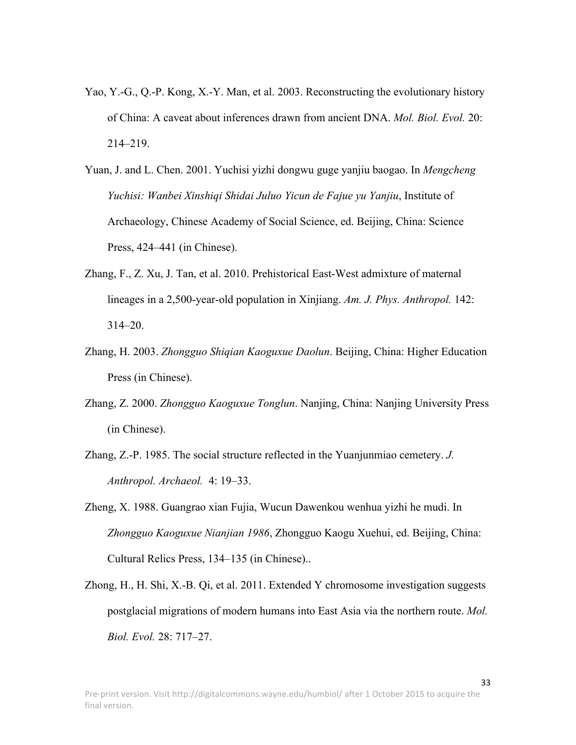- Yao, Y.-G., Q.-P. Kong, X.-Y. Man, et al. 2003. Reconstructing the evolutionary history of China: A caveat about inferences drawn from ancient DNA. *Mol. Biol. Evol.* 20: 214–219.
- Yuan, J. and L. Chen. 2001. Yuchisi yizhi dongwu guge yanjiu baogao. In *Mengcheng Yuchisi: Wanbei Xinshiqi Shidai Juluo Yicun de Fajue yu Yanjiu*, Institute of Archaeology, Chinese Academy of Social Science, ed. Beijing, China: Science Press, 424–441 (in Chinese).
- Zhang, F., Z. Xu, J. Tan, et al. 2010. Prehistorical East-West admixture of maternal lineages in a 2,500-year-old population in Xinjiang. *Am. J. Phys. Anthropol.* 142: 314–20.
- Zhang, H. 2003. *Zhongguo Shiqian Kaoguxue Daolun*. Beijing, China: Higher Education Press (in Chinese).
- Zhang, Z. 2000. *Zhongguo Kaoguxue Tonglun*. Nanjing, China: Nanjing University Press (in Chinese).
- Zhang, Z.-P. 1985. The social structure reflected in the Yuanjunmiao cemetery. *J. Anthropol. Archaeol.* 4: 19–33.
- Zheng, X. 1988. Guangrao xian Fujia, Wucun Dawenkou wenhua yizhi he mudi. In *Zhongguo Kaoguxue Nianjian 1986*, Zhongguo Kaogu Xuehui, ed. Beijing, China: Cultural Relics Press, 134–135 (in Chinese)..
- Zhong, H., H. Shi, X.-B. Qi, et al. 2011. Extended Y chromosome investigation suggests postglacial migrations of modern humans into East Asia via the northern route. *Mol. Biol. Evol.* 28: 717–27.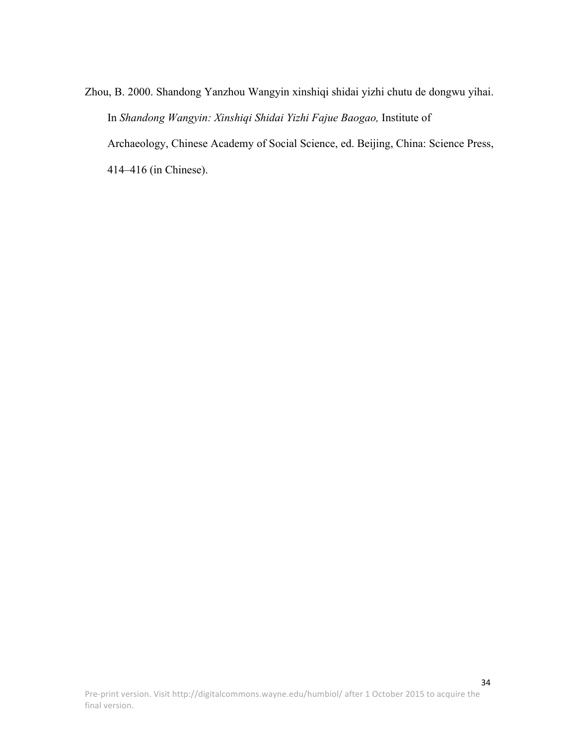Zhou, B. 2000. Shandong Yanzhou Wangyin xinshiqi shidai yizhi chutu de dongwu yihai. In *Shandong Wangyin: Xinshiqi Shidai Yizhi Fajue Baogao,* Institute of Archaeology, Chinese Academy of Social Science, ed. Beijing, China: Science Press, 414–416 (in Chinese).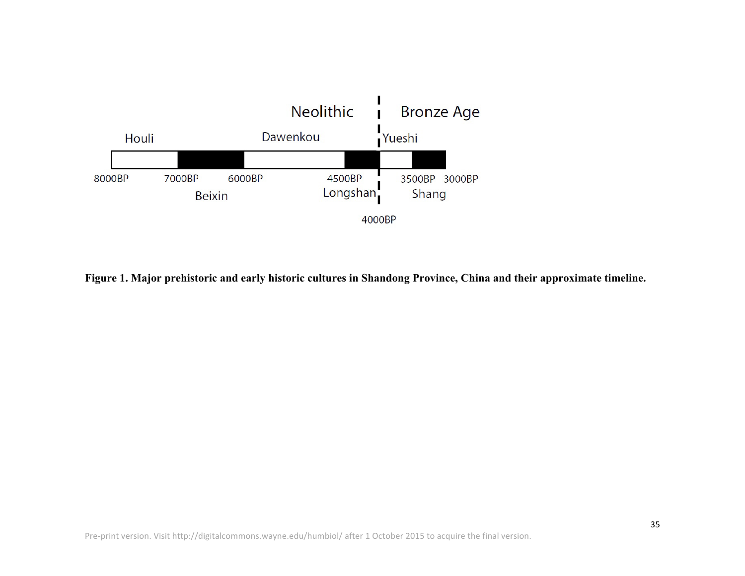

**Figure 1. Major prehistoric and early historic cultures in Shandong Province, China and their approximate timeline.**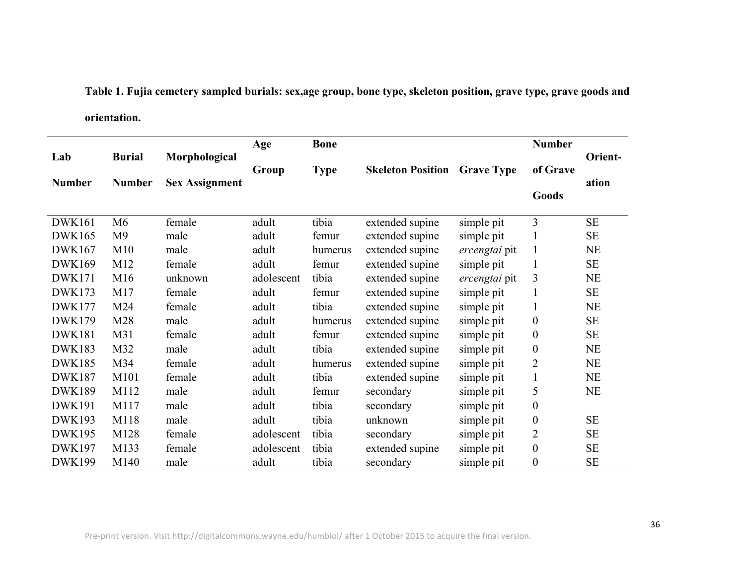**Table 1. Fujia cemetery sampled burials: sex,age group, bone type, skeleton position, grave type, grave goods and orientation.**

|               |                |                       | Age        | <b>Bone</b> |                          |                   | <b>Number</b>    |           |
|---------------|----------------|-----------------------|------------|-------------|--------------------------|-------------------|------------------|-----------|
| Lab           | <b>Burial</b>  | Morphological         |            |             |                          |                   | of Grave         | Orient-   |
| <b>Number</b> | <b>Number</b>  | <b>Sex Assignment</b> | Group      | <b>Type</b> | <b>Skeleton Position</b> | <b>Grave Type</b> |                  | ation     |
|               |                |                       |            |             |                          |                   | Goods            |           |
|               |                |                       |            |             |                          |                   |                  |           |
| <b>DWK161</b> | M <sub>6</sub> | female                | adult      | tibia       | extended supine          | simple pit        | 3                | <b>SE</b> |
| <b>DWK165</b> | M <sub>9</sub> | male                  | adult      | femur       | extended supine          | simple pit        | 1                | SE        |
| <b>DWK167</b> | M10            | male                  | adult      | humerus     | extended supine          | ercengtai pit     | $\mathbf{1}$     | <b>NE</b> |
| <b>DWK169</b> | M12            | female                | adult      | femur       | extended supine          | simple pit        | 1                | SE        |
| <b>DWK171</b> | M16            | unknown               | adolescent | tibia       | extended supine          | ercengtai pit     | 3                | <b>NE</b> |
| <b>DWK173</b> | M17            | female                | adult      | femur       | extended supine          | simple pit        | $\mathbf{1}$     | SE        |
| <b>DWK177</b> | M24            | female                | adult      | tibia       | extended supine          | simple pit        | $\mathbf{1}$     | <b>NE</b> |
| <b>DWK179</b> | M28            | male                  | adult      | humerus     | extended supine          | simple pit        | $\boldsymbol{0}$ | SE        |
| <b>DWK181</b> | M31            | female                | adult      | femur       | extended supine          | simple pit        | $\boldsymbol{0}$ | <b>SE</b> |
| <b>DWK183</b> | M32            | male                  | adult      | tibia       | extended supine          | simple pit        | $\boldsymbol{0}$ | <b>NE</b> |
| <b>DWK185</b> | M34            | female                | adult      | humerus     | extended supine          | simple pit        | $\overline{2}$   | <b>NE</b> |
| <b>DWK187</b> | M101           | female                | adult      | tibia       | extended supine          | simple pit        | $\mathbf{1}$     | <b>NE</b> |
| <b>DWK189</b> | M112           | male                  | adult      | femur       | secondary                | simple pit        | 5                | <b>NE</b> |
| <b>DWK191</b> | M117           | male                  | adult      | tibia       | secondary                | simple pit        | $\boldsymbol{0}$ |           |
| <b>DWK193</b> | M118           | male                  | adult      | tibia       | unknown                  | simple pit        | $\boldsymbol{0}$ | $\rm SE$  |
| <b>DWK195</b> | M128           | female                | adolescent | tibia       | secondary                | simple pit        | $\overline{2}$   | <b>SE</b> |
| <b>DWK197</b> | M133           | female                | adolescent | tibia       | extended supine          | simple pit        | $\boldsymbol{0}$ | <b>SE</b> |
| <b>DWK199</b> | M140           | male                  | adult      | tibia       | secondary                | simple pit        | $\boldsymbol{0}$ | <b>SE</b> |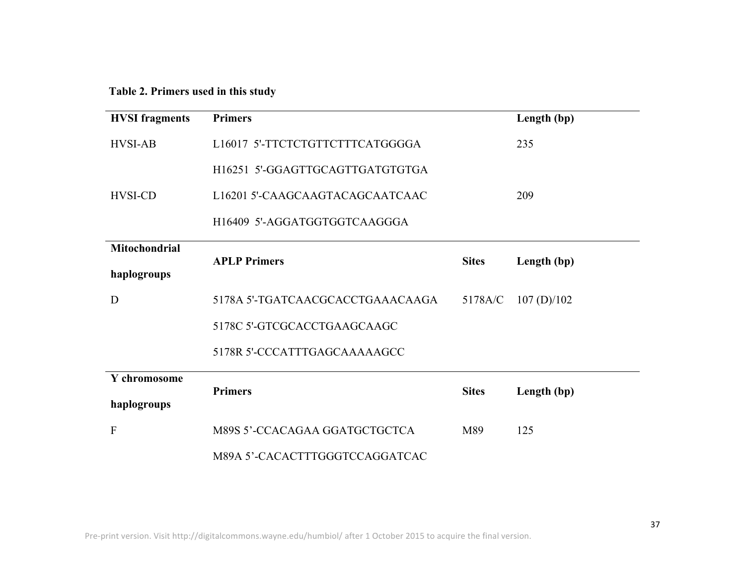**Table 2. Primers used in this study**

| <b>HVSI</b> fragments               | <b>Primers</b>                   |              | Length (bp) |
|-------------------------------------|----------------------------------|--------------|-------------|
| <b>HVSI-AB</b>                      | L16017 5'-TTCTCTGTTCTTTCATGGGGA  |              | 235         |
|                                     | H16251 5'-GGAGTTGCAGTTGATGTGTGA  |              |             |
| <b>HVSI-CD</b>                      | L16201 5'-CAAGCAAGTACAGCAATCAAC  |              | 209         |
|                                     | H16409 5'-AGGATGGTGGTCAAGGGA     |              |             |
| <b>Mitochondrial</b><br>haplogroups | <b>APLP Primers</b>              | <b>Sites</b> | Length (bp) |
| D                                   | 5178A 5'-TGATCAACGCACCTGAAACAAGA | 5178A/C      | 107(D)/102  |
|                                     | 5178C 5'-GTCGCACCTGAAGCAAGC      |              |             |
|                                     | 5178R 5'-CCCATTTGAGCAAAAAGCC     |              |             |
| Y chromosome                        | <b>Primers</b>                   | <b>Sites</b> | Length (bp) |
| haplogroups                         |                                  |              |             |
| ${\bf F}$                           | M89S 5'-CCACAGAA GGATGCTGCTCA    | M89          | 125         |
|                                     | M89A 5'-CACACTTTGGGTCCAGGATCAC   |              |             |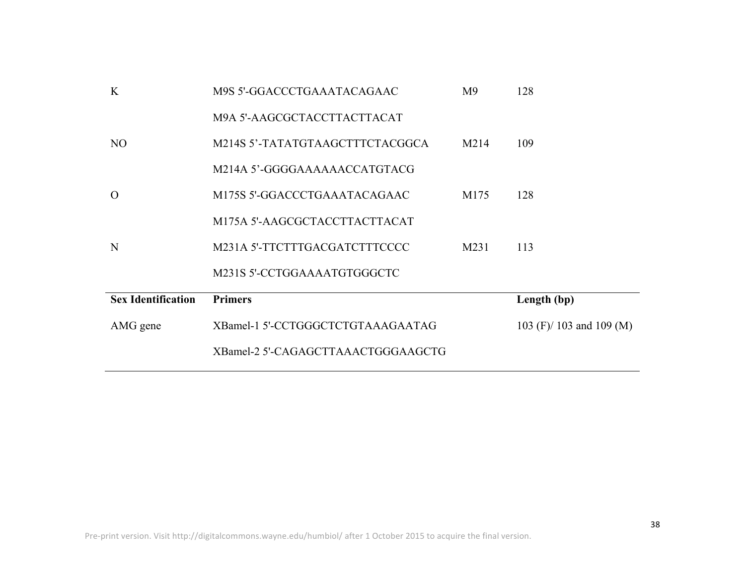|                           | XBamel-2 5'-CAGAGCTTAAACTGGGAAGCTG |                |                          |
|---------------------------|------------------------------------|----------------|--------------------------|
| AMG gene                  | XBamel-1 5'-CCTGGGCTCTGTAAAGAATAG  |                | 103 (F)/ 103 and 109 (M) |
| <b>Sex Identification</b> | <b>Primers</b>                     |                | Length (bp)              |
|                           | M231S 5'-CCTGGAAAATGTGGGCTC        |                |                          |
| N                         | M231A 5'-TTCTTTGACGATCTTTCCCC      | M231           | 113                      |
|                           | M175A 5'-AAGCGCTACCTTACTTACAT      |                |                          |
| $\overline{O}$            | M175S 5'-GGACCCTGAAATACAGAAC       | M175           | 128                      |
|                           | M214A 5'-GGGGAAAAAAACCATGTACG      |                |                          |
| N <sub>O</sub>            | M214S 5'-TATATGTAAGCTTTCTACGGCA    | M214           | 109                      |
|                           | M9A 5'-AAGCGCTACCTTACTTACAT        |                |                          |
| K                         | M9S 5'-GGACCCTGAAATACAGAAC         | M <sup>9</sup> | 128                      |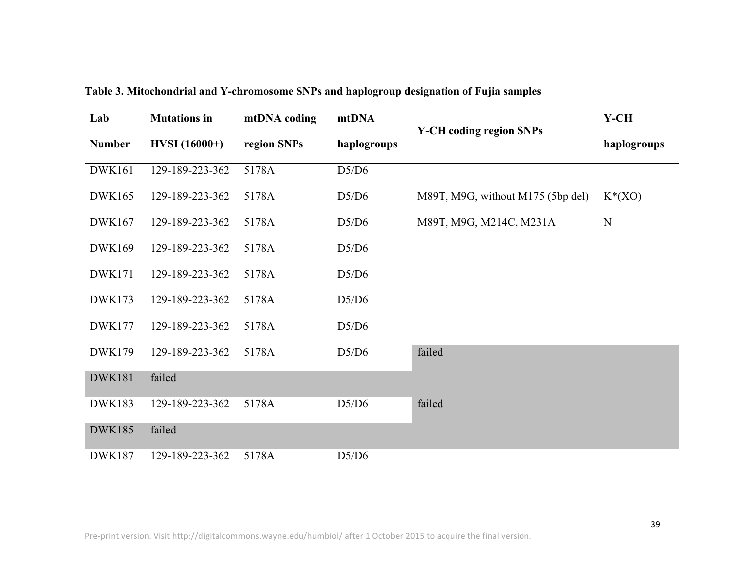| Lab                             | <b>Mutations in</b> | mtDNA coding               | mtDNA |                                   | $Y$ -CH     |  |
|---------------------------------|---------------------|----------------------------|-------|-----------------------------------|-------------|--|
| $HVSI(16000+)$<br><b>Number</b> |                     | region SNPs<br>haplogroups |       | <b>Y-CH</b> coding region SNPs    | haplogroups |  |
| <b>DWK161</b>                   | 129-189-223-362     | 5178A                      | D5/D6 |                                   |             |  |
| <b>DWK165</b>                   | 129-189-223-362     | 5178A                      | D5/D6 | M89T, M9G, without M175 (5bp del) | $K^*(XO)$   |  |
| DWK167                          | 129-189-223-362     | 5178A                      | D5/D6 | M89T, M9G, M214C, M231A           | N           |  |
| <b>DWK169</b>                   | 129-189-223-362     | 5178A                      | D5/D6 |                                   |             |  |
| <b>DWK171</b>                   | 129-189-223-362     | 5178A                      | D5/D6 |                                   |             |  |
| <b>DWK173</b>                   | 129-189-223-362     | 5178A                      | D5/D6 |                                   |             |  |
| <b>DWK177</b>                   | 129-189-223-362     | 5178A                      | D5/D6 |                                   |             |  |
| <b>DWK179</b>                   | 129-189-223-362     | 5178A                      | D5/D6 | failed                            |             |  |
| <b>DWK181</b>                   | failed              |                            |       |                                   |             |  |
| <b>DWK183</b>                   | 129-189-223-362     | 5178A                      | D5/D6 | failed                            |             |  |
| <b>DWK185</b>                   | failed              |                            |       |                                   |             |  |
| <b>DWK187</b>                   | 129-189-223-362     | 5178A                      | D5/D6 |                                   |             |  |

**Table 3. Mitochondrial and Y-chromosome SNPs and haplogroup designation of Fujia samples**

Pre-print version. Visit http://digitalcommons.wayne.edu/humbiol/ after 1 October 2015 to acquire the final version.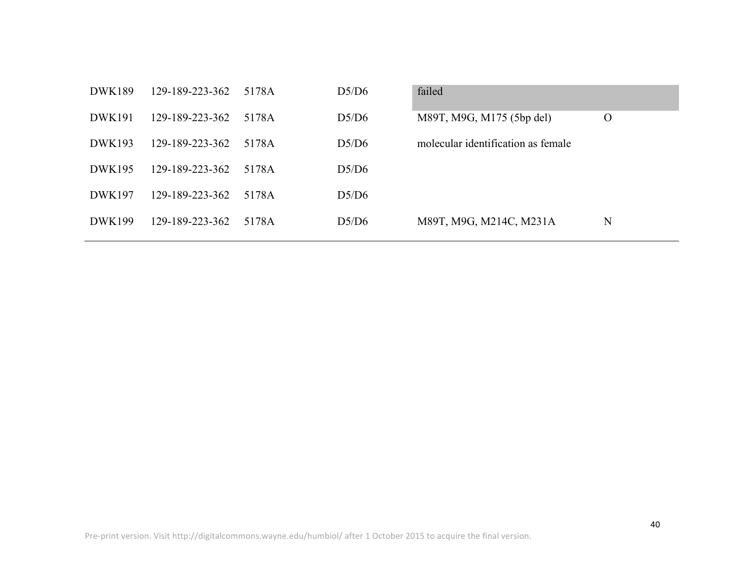| <b>DWK189</b> | 129-189-223-362 | 5178A | D5/D6 | failed                             |          |
|---------------|-----------------|-------|-------|------------------------------------|----------|
| <b>DWK191</b> | 129-189-223-362 | 5178A | D5/D6 | M89T, M9G, M175 (5bp del)          | $\Omega$ |
| DWK193        | 129-189-223-362 | 5178A | D5/D6 | molecular identification as female |          |
| DWK195        | 129-189-223-362 | 5178A | D5/D6 |                                    |          |
| DWK197        | 129-189-223-362 | 5178A | D5/D6 |                                    |          |
| <b>DWK199</b> | 129-189-223-362 | 5178A | D5/D6 | M89T, M9G, M214C, M231A            | N        |
|               |                 |       |       |                                    |          |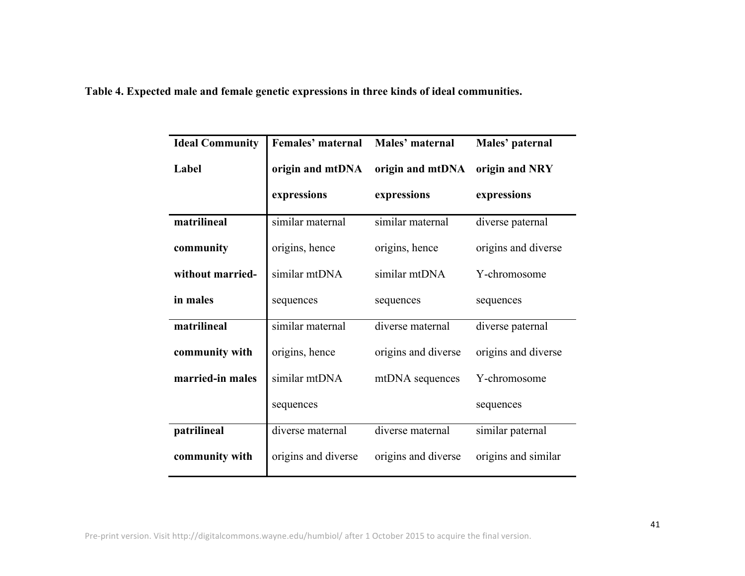**Table 4. Expected male and female genetic expressions in three kinds of ideal communities.**

| <b>Ideal Community</b> | Females' maternal   | Males' maternal     | Males' paternal     |
|------------------------|---------------------|---------------------|---------------------|
| Label                  | origin and mtDNA    | origin and mtDNA    | origin and NRY      |
|                        | expressions         | expressions         | expressions         |
| matrilineal            | similar maternal    | similar maternal    | diverse paternal    |
| community              | origins, hence      | origins, hence      | origins and diverse |
| without married-       | similar mtDNA       | similar mtDNA       | Y-chromosome        |
| in males               | sequences           | sequences           | sequences           |
| matrilineal            | similar maternal    | diverse maternal    | diverse paternal    |
| community with         | origins, hence      | origins and diverse | origins and diverse |
| married-in males       | similar mtDNA       | mtDNA sequences     | Y-chromosome        |
|                        | sequences           |                     | sequences           |
| patrilineal            | diverse maternal    | diverse maternal    | similar paternal    |
| community with         | origins and diverse | origins and diverse | origins and similar |